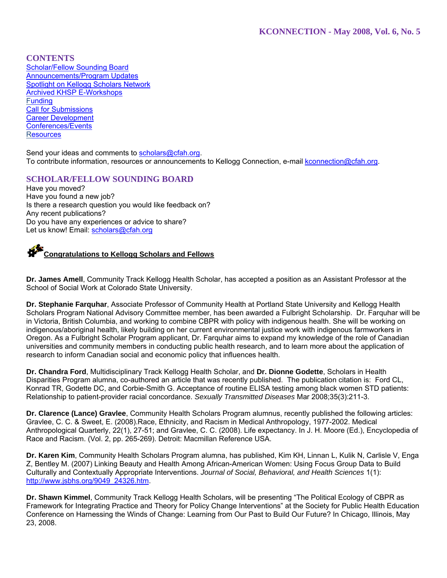**CONTENTS Scholar/Fellow Sounding Board** Announcements/Program Updates Spotlight on Kellogg Scholars Network Archived KHSP E-Workshops **Funding** Call for Submissions Career Development Conferences/Events **Resources** 

Send your ideas and comments to scholars@cfah.org. To contribute information, resources or announcements to Kellogg Connection, e-mail kconnection@cfah.org.

# **SCHOLAR/FELLOW SOUNDING BOARD**

Have you moved? Have you found a new job? Is there a research question you would like feedback on? Any recent publications? Do you have any experiences or advice to share? Let us know! Email: scholars@cfah.org

**Congratulations to Kellogg Scholars and Fellows**

**Dr. James Amell**, Community Track Kellogg Health Scholar, has accepted a position as an Assistant Professor at the School of Social Work at Colorado State University.

**Dr. Stephanie Farquhar**, Associate Professor of Community Health at Portland State University and Kellogg Health Scholars Program National Advisory Committee member, has been awarded a Fulbright Scholarship. Dr. Farquhar will be in Victoria, British Columbia, and working to combine CBPR with policy with indigenous health. She will be working on indigenous/aboriginal health, likely building on her current environmental justice work with indigenous farmworkers in Oregon. As a Fulbright Scholar Program applicant, Dr. Farquhar aims to expand my knowledge of the role of Canadian universities and community members in conducting public health research, and to learn more about the application of research to inform Canadian social and economic policy that influences health.

**Dr. Chandra Ford**, Multidisciplinary Track Kellogg Health Scholar, and **Dr. Dionne Godette**, Scholars in Health Disparities Program alumna, co-authored an article that was recently published. The publication citation is: Ford CL, Konrad TR, Godette DC, and Corbie-Smith G. Acceptance of routine ELISA testing among black women STD patients: Relationship to patient-provider racial concordance. *Sexually Transmitted Diseases* Mar 2008;35(3):211-3.

**Dr. Clarence (Lance) Gravlee**, Community Health Scholars Program alumnus, recently published the following articles: Gravlee, C. C. & Sweet, E. (2008).Race, Ethnicity, and Racism in Medical Anthropology, 1977-2002. Medical Anthropological Quarterly, 22(1), 27-51; and Gravlee, C. C. (2008). Life expectancy. In J. H. Moore (Ed.), Encyclopedia of Race and Racism. (Vol. 2, pp. 265-269). Detroit: Macmillan Reference USA.

**Dr. Karen Kim**, Community Health Scholars Program alumna, has published, Kim KH, Linnan L, Kulik N, Carlisle V, Enga Z, Bentley M. (2007) Linking Beauty and Health Among African-American Women: Using Focus Group Data to Build Culturally and Contextually Appropriate Interventions. *Journal of Social, Behavioral, and Health Sciences* 1(1): http://www.jsbhs.org/9049\_24326.htm.

**Dr. Shawn Kimmel**, Community Track Kellogg Health Scholars, will be presenting "The Political Ecology of CBPR as Framework for Integrating Practice and Theory for Policy Change Interventions" at the Society for Public Health Education Conference on Harnessing the Winds of Change: Learning from Our Past to Build Our Future? In Chicago, Illinois, May 23, 2008.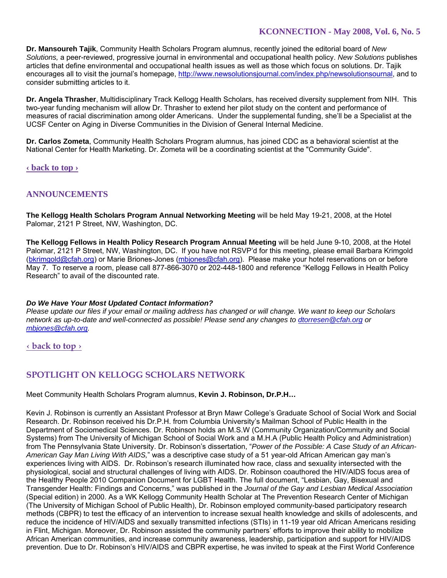**Dr. Mansoureh Tajik**, Community Health Scholars Program alumnus, recently joined the editorial board of *New Solutions,* a peer-reviewed, progressive journal in environmental and occupational health policy. *New Solutions* publishes articles that define environmental and occupational health issues as well as those which focus on solutions. Dr. Tajik encourages all to visit the journal's homepage, http://www.newsolutionsjournal.com/index.php/newsolutionsournal, and to consider submitting articles to it.

**Dr. Angela Thrasher**, Multidisciplinary Track Kellogg Health Scholars, has received diversity supplement from NIH. This two-year funding mechanism will allow Dr. Thrasher to extend her pilot study on the content and performance of measures of racial discrimination among older Americans. Under the supplemental funding, she'll be a Specialist at the UCSF Center on Aging in Diverse Communities in the Division of General Internal Medicine.

**Dr. Carlos Zometa**, Community Health Scholars Program alumnus, has joined CDC as a behavioral scientist at the National Center for Health Marketing. Dr. Zometa will be a coordinating scientist at the "Community Guide".

# **‹ back to top ›**

# **ANNOUNCEMENTS**

**The Kellogg Health Scholars Program Annual Networking Meeting** will be held May 19-21, 2008, at the Hotel Palomar, 2121 P Street, NW, Washington, DC.

**The Kellogg Fellows in Health Policy Research Program Annual Meeting** will be held June 9-10, 2008, at the Hotel Palomar, 2121 P Street, NW, Washington, DC. If you have not RSVP'd for this meeting, please email Barbara Krimgold (bkrimgold@cfah.org) or Marie Briones-Jones (mbjones@cfah.org). Please make your hotel reservations on or before May 7. To reserve a room, please call 877-866-3070 or 202-448-1800 and reference "Kellogg Fellows in Health Policy Research" to avail of the discounted rate.

#### *Do We Have Your Most Updated Contact Information?*

*Please update our files if your email or mailing address has changed or will change. We want to keep our Scholars network as up-to-date and well-connected as possible! Please send any changes to dtorresen@cfah.org or mbjones@cfah.org.* 

#### **‹ back to top ›**

# **SPOTLIGHT ON KELLOGG SCHOLARS NETWORK**

Meet Community Health Scholars Program alumnus, **Kevin J. Robinson, Dr.P.H…** 

Kevin J. Robinson is currently an Assistant Professor at Bryn Mawr College's Graduate School of Social Work and Social Research. Dr. Robinson received his Dr.P.H. from Columbia University's Mailman School of Public Health in the Department of Sociomedical Sciences. Dr. Robinson holds an M.S.W (Community Organization/Community and Social Systems) from The University of Michigan School of Social Work and a M.H.A (Public Health Policy and Administration) from The Pennsylvania State University. Dr. Robinson's dissertation, "*Power of the Possible: A Case Study of an African-American Gay Man Living With AIDS,*" was a descriptive case study of a 51 year-old African American gay man's experiences living with AIDS. Dr. Robinson's research illuminated how race, class and sexuality intersected with the physiological, social and structural challenges of living with AIDS. Dr. Robinson coauthored the HIV/AIDS focus area of the Healthy People 2010 Companion Document for LGBT Health. The full document, "Lesbian, Gay, Bisexual and Transgender Health: Findings and Concerns," was published in the *Journal of the Gay and Lesbian Medical Association*  (Special edition) in 2000. As a WK Kellogg Community Health Scholar at The Prevention Research Center of Michigan (The University of Michigan School of Public Health), Dr. Robinson employed community-based participatory research methods (CBPR) to test the efficacy of an intervention to increase sexual health knowledge and skills of adolescents, and reduce the incidence of HIV/AIDS and sexually transmitted infections (STIs) in 11-19 year old African Americans residing in Flint, Michigan. Moreover, Dr. Robinson assisted the community partners' efforts to improve their ability to mobilize African American communities, and increase community awareness, leadership, participation and support for HIV/AIDS prevention. Due to Dr. Robinson's HIV/AIDS and CBPR expertise, he was invited to speak at the First World Conference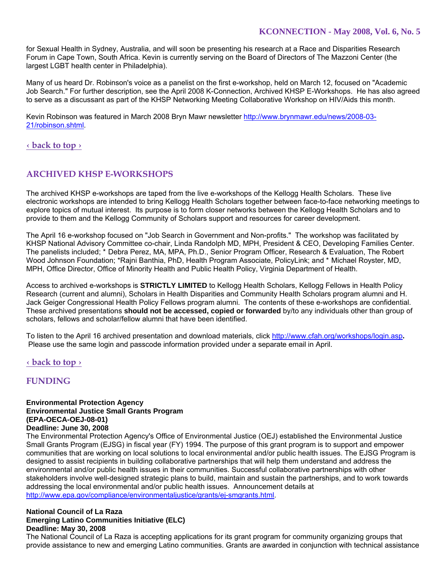for Sexual Health in Sydney, Australia, and will soon be presenting his research at a Race and Disparities Research Forum in Cape Town, South Africa. Kevin is currently serving on the Board of Directors of The Mazzoni Center (the largest LGBT health center in Philadelphia).

Many of us heard Dr. Robinson's voice as a panelist on the first e-workshop, held on March 12, focused on "Academic Job Search." For further description, see the April 2008 K-Connection, Archived KHSP E-Workshops. He has also agreed to serve as a discussant as part of the KHSP Networking Meeting Collaborative Workshop on HIV/Aids this month.

Kevin Robinson was featured in March 2008 Bryn Mawr newsletter http://www.brynmawr.edu/news/2008-03-21/robinson.shtml.

# **‹ back to top ›**

# **ARCHIVED KHSP E-WORKSHOPS**

The archived KHSP e-workshops are taped from the live e-workshops of the Kellogg Health Scholars. These live electronic workshops are intended to bring Kellogg Health Scholars together between face-to-face networking meetings to explore topics of mutual interest. Its purpose is to form closer networks between the Kellogg Health Scholars and to provide to them and the Kellogg Community of Scholars support and resources for career development.

The April 16 e-workshop focused on "Job Search in Government and Non-profits." The workshop was facilitated by KHSP National Advisory Committee co-chair, Linda Randolph MD, MPH, President & CEO, Developing Families Center. The panelists included; \* Debra Perez, MA, MPA, Ph.D., Senior Program Officer, Research & Evaluation, The Robert Wood Johnson Foundation; \*Rajni Banthia, PhD, Health Program Associate, PolicyLink; and \* Michael Royster, MD, MPH, Office Director, Office of Minority Health and Public Health Policy, Virginia Department of Health.

Access to archived e-workshops is **STRICTLY LIMITED** to Kellogg Health Scholars, Kellogg Fellows in Health Policy Research (current and alumni), Scholars in Health Disparities and Community Health Scholars program alumni and H. Jack Geiger Congressional Health Policy Fellows program alumni. The contents of these e-workshops are confidential. These archived presentations **should not be accessed, copied or forwarded** by/to any individuals other than group of scholars, fellows and scholar/fellow alumni that have been identified.

To listen to the April 16 archived presentation and download materials, click http://www.cfah.org/workshops/login.asp**.** Please use the same login and passcode information provided under a separate email in April.

# **‹ back to top ›**

# **FUNDING**

#### **Environmental Protection Agency Environmental Justice Small Grants Program (EPA-OECA-OEJ-08-01) Deadline: June 30, 2008**

The Environmental Protection Agency's Office of Environmental Justice (OEJ) established the Environmental Justice Small Grants Program (EJSG) in fiscal year (FY) 1994. The purpose of this grant program is to support and empower communities that are working on local solutions to local environmental and/or public health issues. The EJSG Program is designed to assist recipients in building collaborative partnerships that will help them understand and address the environmental and/or public health issues in their communities. Successful collaborative partnerships with other stakeholders involve well-designed strategic plans to build, maintain and sustain the partnerships, and to work towards addressing the local environmental and/or public health issues. Announcement details at http://www.epa.gov/compliance/environmentaljustice/grants/ej-smgrants.html.

## **National Council of La Raza Emerging Latino Communities Initiative (ELC) Deadline: May 30, 2008**

The National Council of La Raza is accepting applications for its grant program for community organizing groups that provide assistance to new and emerging Latino communities. Grants are awarded in conjunction with technical assistance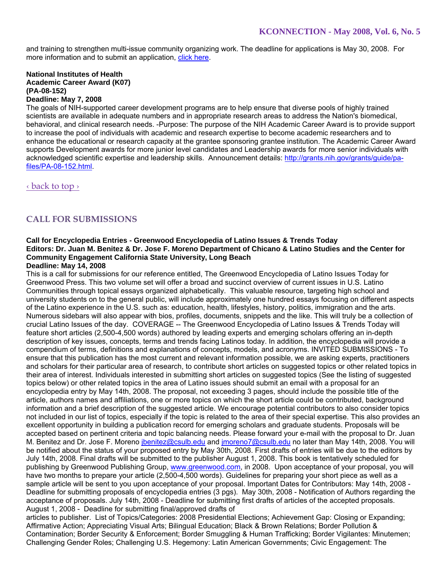and training to strengthen multi-issue community organizing work. The deadline for applications is May 30, 2008. For more information and to submit an application, click here.

#### **National Institutes of Health Academic Career Award (K07) (PA-08-152) Deadline: May 7, 2008**

The goals of NIH-supported career development programs are to help ensure that diverse pools of highly trained scientists are available in adequate numbers and in appropriate research areas to address the Nation's biomedical, behavioral, and clinical research needs. -Purpose: The purpose of the NIH Academic Career Award is to provide support to increase the pool of individuals with academic and research expertise to become academic researchers and to enhance the educational or research capacity at the grantee sponsoring grantee institution. The Academic Career Award supports Development awards for more junior level candidates and Leadership awards for more senior individuals with acknowledged scientific expertise and leadership skills. Announcement details: http://grants.nih.gov/grants/guide/pafiles/PA-08-152.html.

‹ back to top ›

# **CALL FOR SUBMISSIONS**

# **Call for Encyclopedia Entries - Greenwood Encyclopedia of Latino Issues & Trends Today Editors: Dr. Juan M. Benitez & Dr. Jose F. Moreno Department of Chicano & Latino Studies and the Center for Community Engagement California State University, Long Beach**

## **Deadline: May 14, 2008**

This is a call for submissions for our reference entitled, The Greenwood Encyclopedia of Latino Issues Today for Greenwood Press. This two volume set will offer a broad and succinct overview of current issues in U.S. Latino Communities through topical essays organized alphabetically. This valuable resource, targeting high school and university students on to the general public, will include approximately one hundred essays focusing on different aspects of the Latino experience in the U.S. such as: education, health, lifestyles, history, politics, immigration and the arts. Numerous sidebars will also appear with bios, profiles, documents, snippets and the like. This will truly be a collection of crucial Latino Issues of the day. COVERAGE -- The Greenwood Encyclopedia of Latino Issues & Trends Today will feature short articles (2,500-4,500 words) authored by leading experts and emerging scholars offering an in-depth description of key issues, concepts, terms and trends facing Latinos today. In addition, the encyclopedia will provide a compendium of terms, definitions and explanations of concepts, models, and acronyms. INVITED SUBMISSIONS - To ensure that this publication has the most current and relevant information possible, we are asking experts, practitioners and scholars for their particular area of research, to contribute short articles on suggested topics or other related topics in their area of interest. Individuals interested in submitting short articles on suggested topics (See the listing of suggested topics below) or other related topics in the area of Latino issues should submit an email with a proposal for an encyclopedia entry by May 14th, 2008. The proposal, not exceeding 3 pages, should include the possible title of the article, authors names and affiliations, one or more topics on which the short article could be contributed, background information and a brief description of the suggested article. We encourage potential contributors to also consider topics not included in our list of topics, especially if the topic is related to the area of their special expertise. This also provides an excellent opportunity in building a publication record for emerging scholars and graduate students. Proposals will be accepted based on pertinent criteria and topic balancing needs. Please forward your e-mail with the proposal to Dr. Juan M. Benitez and Dr. Jose F. Moreno *jbenitez@csulb.edu* and *jmoreno7@csulb.edu* no later than May 14th, 2008. You will be notified about the status of your proposed entry by May 30th, 2008. First drafts of entries will be due to the editors by July 14th, 2008. Final drafts will be submitted to the publisher August 1, 2008. This book is tentatively scheduled for publishing by Greenwood Publishing Group, www.greenwood.com, in 2008. Upon acceptance of your proposal, you will have two months to prepare your article (2,500-4,500 words). Guidelines for preparing your short piece as well as a sample article will be sent to you upon acceptance of your proposal. Important Dates for Contributors: May 14th, 2008 - Deadline for submitting proposals of encyclopedia entries (3 pgs). May 30th, 2008 - Notification of Authors regarding the acceptance of proposals. July 14th, 2008 - Deadline for submitting first drafts of articles of the accepted proposals. August 1, 2008 - Deadline for submitting final/approved drafts of

articles to publisher. List of Topics/Categories: 2008 Presidential Elections; Achievement Gap: Closing or Expanding; Affirmative Action; Appreciating Visual Arts; Bilingual Education; Black & Brown Relations; Border Pollution & Contamination; Border Security & Enforcement; Border Smuggling & Human Trafficking; Border Vigilantes: Minutemen; Challenging Gender Roles; Challenging U.S. Hegemony: Latin American Governments; Civic Engagement: The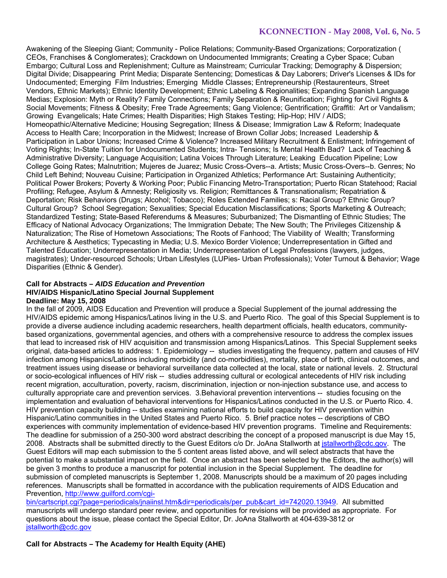Awakening of the Sleeping Giant; Community - Police Relations; Community-Based Organizations; Corporatization ( CEOs, Franchises & Conglomerates); Crackdown on Undocumented Immigrants; Creating a Cyber Space; Cuban Embargo; Cultural Loss and Replenishment; Culture as Mainstream; Curricular Tracking; Demography & Dispersion; Digital Divide; Disappearing Print Media; Disparate Sentencing; Domesticas & Day Laborers; Driver's Licenses & IDs for Undocumented; Emerging Film Industries; Emerging Middle Classes; Entrepreneurship (Restaurenteurs, Street Vendors, Ethnic Markets); Ethnic Identity Development; Ethnic Labeling & Regionalities; Expanding Spanish Language Medias; Explosion: Myth or Reality? Family Connections; Family Separation & Reunification; Fighting for Civil Rights & Social Movements; Fitness & Obesity; Free Trade Agreements; Gang Violence; Gentrification; Graffiti: Art or Vandalism; Growing Evangelicals; Hate Crimes; Health Disparities; High Stakes Testing; Hip-Hop; HIV / AIDS; Homeopathic/Alternative Medicine; Housing Segregation; Illness & Disease; Immigration Law & Reform; Inadequate Access to Health Care; Incorporation in the Midwest; Increase of Brown Collar Jobs; Increased Leadership & Participation in Labor Unions; Increased Crime & Violence? Increased Military Recruitment & Enlistment; Infringement of Voting Rights; In-State Tuition for Undocumented Students; Intra- Tensions; Is Mental Health Bad? Lack of Teaching & Administrative Diversity; Language Acquisition; Latina Voices Through Literature; Leaking Education Pipeline; Low College Going Rates; Malnutrition; Mujeres de Juarez; Music Cross-Overs--a. Artists; Music Cross-Overs--b. Genres; No Child Left Behind; Nouveau Cuisine; Participation in Organized Athletics; Performance Art: Sustaining Authenticity; Political Power Brokers; Poverty & Working Poor; Public Financing Metro-Transportation; Puerto Rican Statehood; Racial Profiling; Refugee, Asylum & Amnesty; Religiosity vs. Religion; Remittances & Transnationalism; Repatriation & Deportation; Risk Behaviors (Drugs; Alcohol; Tobacco); Roles Extended Families; s: Racial Group? Ethnic Group? Cultural Group? School Segregation; Sexualities; Special Education Misclassifications; Sports Marketing & Outreach; Standardized Testing; State-Based Referendums & Measures; Suburbanized; The Dismantling of Ethnic Studies; The Efficacy of National Advocacy Organizations; The Immigration Debate; The New South; The Privileges Citizenship & Naturalization; The Rise of Hometown Associations; The Roots of Fanhood; The Viability of Wealth; Transforming Architecture & Aesthetics; Typecasting in Media; U.S. Mexico Border Violence; Underrepresentation in Gifted and Talented Education; Underrepresentation in Media; Underrepresentation of Legal Professions (lawyers, judges, magistrates); Under-resourced Schools; Urban Lifestyles (LUPies- Urban Professionals); Voter Turnout & Behavior; Wage Disparities (Ethnic & Gender).

#### **Call for Abstracts –** *AIDS Education and Prevention*  **HIV/AIDS Hispanic/Latino Special Journal Supplement Deadline: May 15, 2008**

In the fall of 2009, AIDS Education and Prevention will produce a Special Supplement of the journal addressing the HIV/AIDS epidemic among Hispanics/Latinos living in the U.S. and Puerto Rico. The goal of this Special Supplement is to provide a diverse audience including academic researchers, health department officials, health educators, communitybased organizations, governmental agencies, and others with a comprehensive resource to address the complex issues that lead to increased risk of HIV acquisition and transmission among Hispanics/Latinos. This Special Supplement seeks original, data-based articles to address: 1. Epidemiology -- studies investigating the frequency, pattern and causes of HIV infection among Hispanics/Latinos including morbidity (and co-morbidities), mortality, place of birth, clinical outcomes, and treatment issues using disease or behavioral surveillance data collected at the local, state or national levels. 2. Structural or socio-ecological influences of HIV risk -- studies addressing cultural or ecological antecedents of HIV risk including recent migration, acculturation, poverty, racism, discrimination, injection or non-injection substance use, and access to culturally appropriate care and prevention services. 3.Behavioral prevention interventions -- studies focusing on the implementation and evaluation of behavioral interventions for Hispanics/Latinos conducted in the U.S. or Puerto Rico. 4. HIV prevention capacity building -- studies examining national efforts to build capacity for HIV prevention within Hispanic/Latino communities in the United States and Puerto Rico. 5. Brief practice notes -- descriptions of CBO experiences with community implementation of evidence-based HIV prevention programs. Timeline and Requirements: The deadline for submission of a 250-300 word abstract describing the concept of a proposed manuscript is due May 15, 2008. Abstracts shall be submitted directly to the Guest Editors c/o Dr. JoAna Stallworth at jstallworth@cdc.gov. The Guest Editors will map each submission to the 5 content areas listed above, and will select abstracts that have the potential to make a substantial impact on the field. Once an abstract has been selected by the Editors, the author(s) will be given 3 months to produce a manuscript for potential inclusion in the Special Supplement. The deadline for submission of completed manuscripts is September 1, 2008. Manuscripts should be a maximum of 20 pages including references. Manuscripts shall be formatted in accordance with the publication requirements of AIDS Education and Prevention, http://www.guilford.com/cgi-

bin/cartscript.cgi?page=periodicals/jnaiinst.htm&dir=periodicals/per\_pub&cart\_id=742020.13949. All submitted manuscripts will undergo standard peer review, and opportunities for revisions will be provided as appropriate. For questions about the issue, please contact the Special Editor, Dr. JoAna Stallworth at 404-639-3812 or istallworth@cdc.gov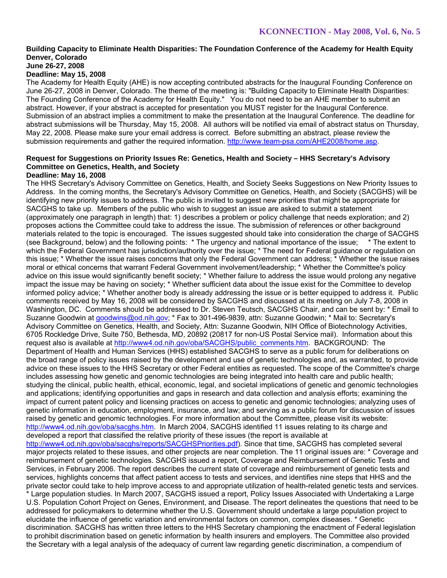#### **Building Capacity to Eliminate Health Disparities: The Foundation Conference of the Academy for Health Equity Denver, Colorado June 26-27, 2008**

# **Deadline: May 15, 2008**

The Academy for Health Equity (AHE) is now accepting contributed abstracts for the Inaugural Founding Conference on June 26-27, 2008 in Denver, Colorado. The theme of the meeting is: "Building Capacity to Eliminate Health Disparities: The Founding Conference of the Academy for Health Equity." You do not need to be an AHE member to submit an abstract. However, if your abstract is accepted for presentation you MUST register for the Inaugural Conference. Submission of an abstract implies a commitment to make the presentation at the Inaugural Conference. The deadline for abstract submissions will be Thursday, May 15, 2008. All authors will be notified via email of abstract status on Thursday, May 22, 2008. Please make sure your email address is correct. Before submitting an abstract, please review the submission requirements and gather the required information. http://www.team-psa.com/AHE2008/home.asp.

# **Request for Suggestions on Priority Issues Re: Genetics, Health and Society – HHS Secretary's Advisory Committee on Genetics, Health, and Society**

#### **Deadline: May 16, 2008**

The HHS Secretary's Advisory Committee on Genetics, Health, and Society Seeks Suggestions on New Priority Issues to Address. In the coming months, the Secretary's Advisory Committee on Genetics, Health, and Society (SACGHS) will be identifying new priority issues to address. The public is invited to suggest new priorities that might be appropriate for SACGHS to take up. Members of the public who wish to suggest an issue are asked to submit a statement (approximately one paragraph in length) that: 1) describes a problem or policy challenge that needs exploration; and 2) proposes actions the Committee could take to address the issue. The submission of references or other background materials related to the topic is encouraged. The issues suggested should take into consideration the charge of SACGHS (see Background, below) and the following points: \* The urgency and national importance of the issue; \* The extent to which the Federal Government has jurisdiction/authority over the issue; \* The need for Federal guidance or regulation on this issue; \* Whether the issue raises concerns that only the Federal Government can address; \* Whether the issue raises moral or ethical concerns that warrant Federal Government involvement/leadership; \* Whether the Committee's policy advice on this issue would significantly benefit society; \* Whether failure to address the issue would prolong any negative impact the issue may be having on society; \* Whether sufficient data about the issue exist for the Committee to develop informed policy advice; \* Whether another body is already addressing the issue or is better equipped to address it. Public comments received by May 16, 2008 will be considered by SACGHS and discussed at its meeting on July 7-8, 2008 in Washington, DC. Comments should be addressed to Dr. Steven Teutsch, SACGHS Chair, and can be sent by: \* Email to Suzanne Goodwin at goodwins@od.nih.gov; \* Fax to 301-496-9839, attn: Suzanne Goodwin; \* Mail to: Secretary's Advisory Committee on Genetics, Health, and Society, Attn: Suzanne Goodwin, NIH Office of Biotechnology Activities, 6705 Rockledge Drive, Suite 750, Bethesda, MD, 20892 (20817 for non-US Postal Service mail). Information about this request also is available at http://www4.od.nih.gov/oba/SACGHS/public\_comments.htm. BACKGROUND: The Department of Health and Human Services (HHS) established SACGHS to serve as a public forum for deliberations on the broad range of policy issues raised by the development and use of genetic technologies and, as warranted, to provide advice on these issues to the HHS Secretary or other Federal entities as requested. The scope of the Committee's charge includes assessing how genetic and genomic technologies are being integrated into health care and public health; studying the clinical, public health, ethical, economic, legal, and societal implications of genetic and genomic technologies and applications; identifying opportunities and gaps in research and data collection and analysis efforts; examining the impact of current patent policy and licensing practices on access to genetic and genomic technologies; analyzing uses of genetic information in education, employment, insurance, and law; and serving as a public forum for discussion of issues raised by genetic and genomic technologies. For more information about the Committee, please visit its website: http://www4.od.nih.gov/oba/sacghs.htm. In March 2004, SACGHS identified 11 issues relating to its charge and developed a report that classified the relative priority of these issues (the report is available at http://www4.od.nih.gov/oba/sacghs/reports/SACGHSPriorities.pdf). Since that time, SACGHS has completed several major projects related to these issues, and other projects are near completion. The 11 original issues are: \* Coverage and reimbursement of genetic technologies. SACGHS issued a report, Coverage and Reimbursement of Genetic Tests and Services, in February 2006. The report describes the current state of coverage and reimbursement of genetic tests and services, highlights concerns that affect patient access to tests and services, and identifies nine steps that HHS and the private sector could take to help improve access to and appropriate utilization of health-related genetic tests and services. \* Large population studies. In March 2007, SACGHS issued a report, Policy Issues Associated with Undertaking a Large U.S. Population Cohort Project on Genes, Environment, and Disease. The report delineates the questions that need to be addressed for policymakers to determine whether the U.S. Government should undertake a large population project to elucidate the influence of genetic variation and environmental factors on common, complex diseases. \* Genetic discrimination. SACGHS has written three letters to the HHS Secretary championing the enactment of Federal legislation to prohibit discrimination based on genetic information by health insurers and employers. The Committee also provided the Secretary with a legal analysis of the adequacy of current law regarding genetic discrimination, a compendium of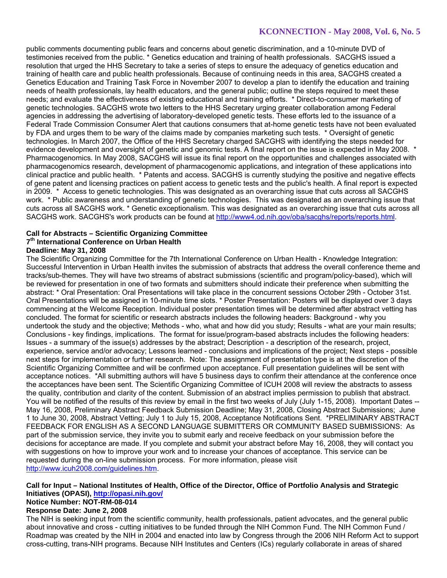public comments documenting public fears and concerns about genetic discrimination, and a 10-minute DVD of testimonies received from the public. \* Genetics education and training of health professionals. SACGHS issued a resolution that urged the HHS Secretary to take a series of steps to ensure the adequacy of genetics education and training of health care and public health professionals. Because of continuing needs in this area, SACGHS created a Genetics Education and Training Task Force in November 2007 to develop a plan to identify the education and training needs of health professionals, lay health educators, and the general public; outline the steps required to meet these needs; and evaluate the effectiveness of existing educational and training efforts. \* Direct-to-consumer marketing of genetic technologies. SACGHS wrote two letters to the HHS Secretary urging greater collaboration among Federal agencies in addressing the advertising of laboratory-developed genetic tests. These efforts led to the issuance of a Federal Trade Commission Consumer Alert that cautions consumers that at-home genetic tests have not been evaluated by FDA and urges them to be wary of the claims made by companies marketing such tests. \* Oversight of genetic technologies. In March 2007, the Office of the HHS Secretary charged SACGHS with identifying the steps needed for evidence development and oversight of genetic and genomic tests. A final report on the issue is expected in May 2008. \* Pharmacogenomics. In May 2008, SACGHS will issue its final report on the opportunities and challenges associated with pharmacogenomics research, development of pharmacogenomic applications, and integration of these applications into clinical practice and public health. \* Patents and access. SACGHS is currently studying the positive and negative effects of gene patent and licensing practices on patient access to genetic tests and the public's health. A final report is expected in 2009. \* Access to genetic technologies. This was designated as an overarching issue that cuts across all SACGHS work. \* Public awareness and understanding of genetic technologies. This was designated as an overarching issue that cuts across all SACGHS work. \* Genetic exceptionalism. This was designated as an overarching issue that cuts across all SACGHS work. SACGHS's work products can be found at http://www4.od.nih.gov/oba/sacghs/reports/reports.html.

#### **Call for Abstracts – Scientific Organizing Committee 7th International Conference on Urban Health Deadline: May 31, 2008**

The Scientific Organizing Committee for the 7th International Conference on Urban Health - Knowledge Integration: Successful Intervention in Urban Health invites the submission of abstracts that address the overall conference theme and tracks/sub-themes. They will have two streams of abstract submissions (scientific and program/policy-based), which will be reviewed for presentation in one of two formats and submitters should indicate their preference when submitting the abstract: \* Oral Presentation: Oral Presentations will take place in the concurrent sessions October 29th - October 31st. Oral Presentations will be assigned in 10-minute time slots. \* Poster Presentation: Posters will be displayed over 3 days commencing at the Welcome Reception. Individual poster presentation times will be determined after abstract vetting has concluded. The format for scientific or research abstracts includes the following headers: Background - why you undertook the study and the objective; Methods - who, what and how did you study; Results - what are your main results; Conclusions - key findings, implications. The format for issue/program-based abstracts includes the following headers: Issues - a summary of the issue(s) addresses by the abstract; Description - a description of the research, project, experience, service and/or advocacy; Lessons learned - conclusions and implications of the project; Next steps - possible next steps for implementation or further research. Note: The assignment of presentation type is at the discretion of the Scientific Organizing Committee and will be confirmed upon acceptance. Full presentation guidelines will be sent with acceptance notices. \*All submitting authors will have 5 business days to confirm their attendance at the conference once the acceptances have been sent. The Scientific Organizing Committee of ICUH 2008 will review the abstracts to assess the quality, contribution and clarity of the content. Submission of an abstract implies permission to publish that abstract. You will be notified of the results of this review by email in the first two weeks of July (July 1-15, 2008). Important Dates -May 16, 2008, Preliminary Abstract Feedback Submission Deadline; May 31, 2008, Closing Abstract Submissions; June 1 to June 30, 2008, Abstract Vetting; July 1 to July 15, 2008, Acceptance Notifications Sent. \*PRELIMINARY ABSTRACT FEEDBACK FOR ENGLISH AS A SECOND LANGUAGE SUBMITTERS OR COMMUNITY BASED SUBMISSIONS: As part of the submission service, they invite you to submit early and receive feedback on your submission before the decisions for acceptance are made. If you complete and submit your abstract before May 16, 2008, they will contact you with suggestions on how to improve your work and to increase your chances of acceptance. This service can be requested during the on-line submission process. For more information, please visit http://www.icuh2008.com/guidelines.htm.

# **Call for Input – National Institutes of Health, Office of the Director, Office of Portfolio Analysis and Strategic Initiatives (OPASI), http://opasi.nih.gov/**

# **Notice Number: NOT-RM-08-014**

# **Response Date: June 2, 2008**

The NIH is seeking input from the scientific community, health professionals, patient advocates, and the general public about innovative and cross - cutting initiatives to be funded through the NIH Common Fund. The NIH Common Fund / Roadmap was created by the NIH in 2004 and enacted into law by Congress through the 2006 NIH Reform Act to support cross-cutting, trans-NIH programs. Because NIH Institutes and Centers (ICs) regularly collaborate in areas of shared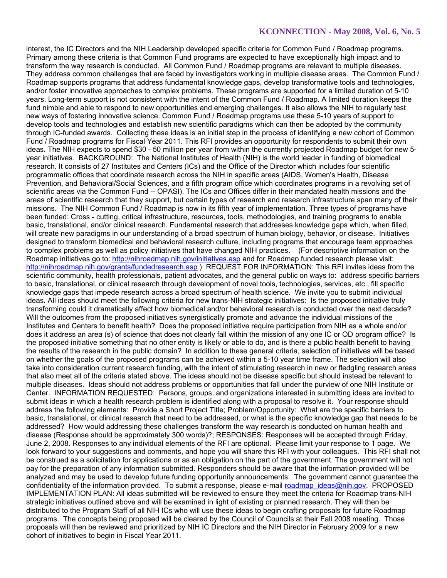interest, the IC Directors and the NIH Leadership developed specific criteria for Common Fund / Roadmap programs. Primary among these criteria is that Common Fund programs are expected to have exceptionally high impact and to transform the way research is conducted. All Common Fund / Roadmap programs are relevant to multiple diseases. They address common challenges that are faced by investigators working in multiple disease areas. The Common Fund / Roadmap supports programs that address fundamental knowledge gaps, develop transformative tools and technologies, and/or foster innovative approaches to complex problems. These programs are supported for a limited duration of 5-10 years. Long-term support is not consistent with the intent of the Common Fund / Roadmap. A limited duration keeps the fund nimble and able to respond to new opportunities and emerging challenges. It also allows the NIH to regularly test new ways of fostering innovative science. Common Fund / Roadmap programs use these 5-10 years of support to develop tools and technologies and establish new scientific paradigms which can then be adopted by the community through IC-funded awards. Collecting these ideas is an initial step in the process of identifying a new cohort of Common Fund / Roadmap programs for Fiscal Year 2011. This RFI provides an opportunity for respondents to submit their own ideas. The NIH expects to spend \$30 - 50 million per year from within the currently projected Roadmap budget for new 5 year initiatives. BACKGROUND: The National Institutes of Health (NIH) is the world leader in funding of biomedical research. It consists of 27 Institutes and Centers (ICs) and the Office of the Director which includes four scientific programmatic offices that coordinate research across the NIH in specific areas (AIDS, Women's Health, Disease Prevention, and Behavioral/Social Sciences, and a fifth program office which coordinates programs in a revolving set of scientific areas via the Common Fund -- OPASI). The ICs and Offices differ in their mandated health missions and the areas of scientific research that they support, but certain types of research and research infrastructure span many of their missions. The NIH Common Fund / Roadmap is now in its fifth year of implementation. Three types of programs have been funded: Cross - cutting, critical infrastructure, resources, tools, methodologies, and training programs to enable basic, translational, and/or clinical research. Fundamental research that addresses knowledge gaps which, when filled, will create new paradigms in our understanding of a broad spectrum of human biology, behavior, or disease. Initiatives designed to transform biomedical and behavioral research culture, including programs that encourage team approaches to complex problems as well as policy initiatives that have changed NIH practices. (For descriptive information on the Roadmap initiatives go to: http://nihroadmap.nih.gov/initiatives.asp and for Roadmap funded research please visit: http://nihroadmap.nih.gov/grants/fundedresearch.asp ) REQUEST FOR INFORMATION: This RFI invites ideas from the scientific community, health professionals, patient advocates, and the general public on ways to: address specific barriers to basic, translational, or clinical research through development of novel tools, technologies, services, etc.; fill specific knowledge gaps that impede research across a broad spectrum of health science. We invite you to submit individual ideas. All ideas should meet the following criteria for new trans-NIH strategic initiatives: Is the proposed initiative truly transforming could it dramatically affect how biomedical and/or behavioral research is conducted over the next decade? Will the outcomes from the proposed initiatives synergistically promote and advance the individual missions of the Institutes and Centers to benefit health? Does the proposed initiative require participation from NIH as a whole and/or does it address an area (s) of science that does not clearly fall within the mission of any one IC or OD program office? Is the proposed initiative something that no other entity is likely or able to do, and is there a public health benefit to having the results of the research in the public domain? In addition to these general criteria, selection of initiatives will be based on whether the goals of the proposed programs can be achieved within a 5-10 year time frame. The selection will also take into consideration current research funding, with the intent of stimulating research in new or fledgling research areas that also meet all of the criteria stated above. The ideas should not be disease specific but should instead be relevant to multiple diseases. Ideas should not address problems or opportunities that fall under the purview of one NIH Institute or Center. INFORMATION REQUESTED: Persons, groups, and organizations interested in submitting ideas are invited to submit ideas in which a health research problem is identified along with a proposal to resolve it. Your response should address the following elements: Provide a Short Project Title; Problem/Opportunity: What are the specific barriers to basic, translational, or clinical research that need to be addressed, or what is the specific knowledge gap that needs to be addressed? How would addressing these challenges transform the way research is conducted on human health and disease (Response should be approximately 300 words)?; RESPONSES: Responses will be accepted through Friday, June 2, 2008. Responses to any individual elements of the RFI are optional. Please limit your response to 1 page. We look forward to your suggestions and comments, and hope you will share this RFI with your colleagues. This RFI shall not be construed as a solicitation for applications or as an obligation on the part of the government. The government will not pay for the preparation of any information submitted. Responders should be aware that the information provided will be analyzed and may be used to develop future funding opportunity announcements. The government cannot guarantee the confidentiality of the information provided. To submit a response, please e-mail roadmap\_ideas@nih.gov. PROPOSED IMPLEMENTATION PLAN: All ideas submitted will be reviewed to ensure they meet the criteria for Roadmap trans-NIH strategic initiatives outlined above and will be examined in light of existing or planned research. They will then be distributed to the Program Staff of all NIH ICs who will use these ideas to begin crafting proposals for future Roadmap programs. The concepts being proposed will be cleared by the Council of Councils at their Fall 2008 meeting. Those proposals will then be reviewed and prioritized by NIH IC Directors and the NIH Director in February 2009 for a new cohort of initiatives to begin in Fiscal Year 2011.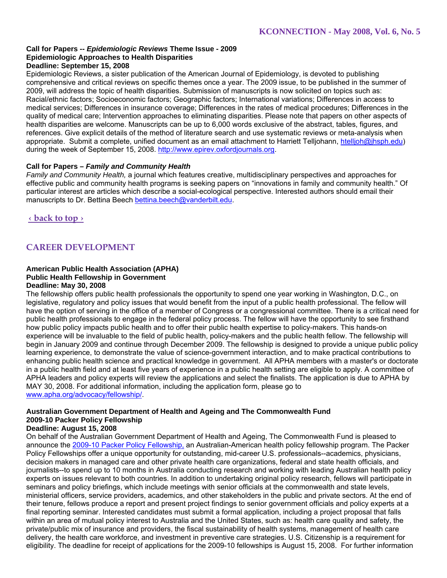#### **Call for Papers --** *Epidemiologic Reviews* **Theme Issue - 2009 Epidemiologic Approaches to Health Disparities Deadline: September 15, 2008**

Epidemiologic Reviews, a sister publication of the American Journal of Epidemiology, is devoted to publishing comprehensive and critical reviews on specific themes once a year. The 2009 issue, to be published in the summer of 2009, will address the topic of health disparities. Submission of manuscripts is now solicited on topics such as: Racial/ethnic factors; Socioeconomic factors; Geographic factors; International variations; Differences in access to medical services; Differences in insurance coverage; Differences in the rates of medical procedures; Differences in the quality of medical care; Intervention approaches to eliminating disparities. Please note that papers on other aspects of health disparities are welcome. Manuscripts can be up to 6,000 words exclusive of the abstract, tables, figures, and references. Give explicit details of the method of literature search and use systematic reviews or meta-analysis when appropriate. Submit a complete, unified document as an email attachment to Harriett Telljohann, htelljoh@jhsph.edu) during the week of September 15, 2008. http://www.epirev.oxfordjournals.org.

# **Call for Papers –** *Family and Community Health*

*Family and Community Health,* a journal which features creative, multidisciplinary perspectives and approaches for effective public and community health programs is seeking papers on "innovations in family and community health." Of particular interest are articles which describe a social-ecological perspective. Interested authors should email their manuscripts to Dr. Bettina Beech bettina.beech@vanderbilt.edu.

**‹ back to top ›**

# **CAREER DEVELOPMENT**

#### **American Public Health Association (APHA) Public Health Fellowship in Government Deadline: May 30, 2008**

The fellowship offers public health professionals the opportunity to spend one year working in Washington, D.C., on legislative, regulatory and policy issues that would benefit from the input of a public health professional. The fellow will have the option of serving in the office of a member of Congress or a congressional committee. There is a critical need for public health professionals to engage in the federal policy process. The fellow will have the opportunity to see firsthand how public policy impacts public health and to offer their public health expertise to policy-makers. This hands-on experience will be invaluable to the field of public health, policy-makers and the public health fellow. The fellowship will begin in January 2009 and continue through December 2009. The fellowship is designed to provide a unique public policy learning experience, to demonstrate the value of science-government interaction, and to make practical contributions to enhancing public health science and practical knowledge in government. All APHA members with a master's or doctorate in a public health field and at least five years of experience in a public health setting are eligible to apply. A committee of APHA leaders and policy experts will review the applications and select the finalists. The application is due to APHA by MAY 30, 2008. For additional information, including the application form, please go to www.apha.org/advocacy/fellowship/.

# **Australian Government Department of Health and Ageing and The Commonwealth Fund 2009-10 Packer Policy Fellowship**

# **Deadline: August 15, 2008**

On behalf of the Australian Government Department of Health and Ageing, The Commonwealth Fund is pleased to announce the 2009-10 Packer Policy Fellowship, an Australian-American health policy fellowship program. The Packer Policy Fellowships offer a unique opportunity for outstanding, mid-career U.S. professionals--academics, physicians, decision makers in managed care and other private health care organizations, federal and state health officials, and journalists--to spend up to 10 months in Australia conducting research and working with leading Australian health policy experts on issues relevant to both countries. In addition to undertaking original policy research, fellows will participate in seminars and policy briefings, which include meetings with senior officials at the commonwealth and state levels, ministerial officers, service providers, academics, and other stakeholders in the public and private sectors. At the end of their tenure, fellows produce a report and present project findings to senior government officials and policy experts at a final reporting seminar. Interested candidates must submit a formal application, including a project proposal that falls within an area of mutual policy interest to Australia and the United States, such as: health care quality and safety, the private/public mix of insurance and providers, the fiscal sustainability of health systems, management of health care delivery, the health care workforce, and investment in preventive care strategies. U.S. Citizenship is a requirement for eligibility. The deadline for receipt of applications for the 2009-10 fellowships is August 15, 2008. For further information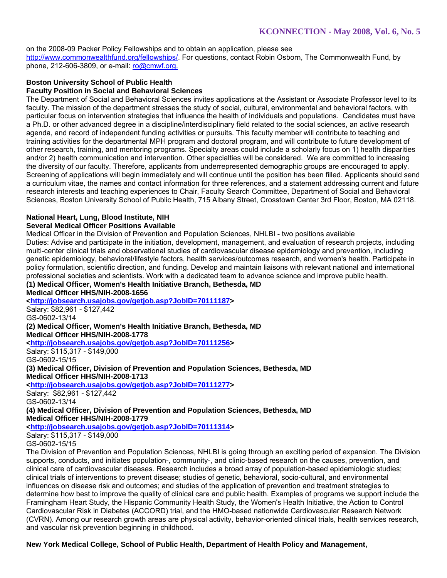on the 2008-09 Packer Policy Fellowships and to obtain an application, please see http://www.commonwealthfund.org/fellowships/. For questions, contact Robin Osborn, The Commonwealth Fund, by phone, 212-606-3809, or e-mail: ro@cmwf.org.

# **Boston University School of Public Health**

## **Faculty Position in Social and Behavioral Sciences**

The Department of Social and Behavioral Sciences invites applications at the Assistant or Associate Professor level to its faculty. The mission of the department stresses the study of social, cultural, environmental and behavioral factors, with particular focus on intervention strategies that influence the health of individuals and populations. Candidates must have a Ph.D. or other advanced degree in a discipline/interdisciplinary field related to the social sciences, an active research agenda, and record of independent funding activities or pursuits. This faculty member will contribute to teaching and training activities for the departmental MPH program and doctoral program, and will contribute to future development of other research, training, and mentoring programs. Specialty areas could include a scholarly focus on 1) health disparities and/or 2) health communication and intervention. Other specialties will be considered. We are committed to increasing the diversity of our faculty. Therefore, applicants from underrepresented demographic groups are encouraged to apply. Screening of applications will begin immediately and will continue until the position has been filled. Applicants should send a curriculum vitae, the names and contact information for three references, and a statement addressing current and future research interests and teaching experiences to Chair, Faculty Search Committee, Department of Social and Behavioral Sciences, Boston University School of Public Health, 715 Albany Street, Crosstown Center 3rd Floor, Boston, MA 02118.

# **National Heart, Lung, Blood Institute, NIH**

### **Several Medical Officer Positions Available**

Medical Officer in the Division of Prevention and Population Sciences, NHLBI - two positions available Duties: Advise and participate in the initiation, development, management, and evaluation of research projects, including multi-center clinical trials and observational studies of cardiovascular disease epidemiology and prevention, including genetic epidemiology, behavioral/lifestyle factors, health services/outcomes research, and women's health. Participate in policy formulation, scientific direction, and funding. Develop and maintain liaisons with relevant national and international professional societies and scientists. Work with a dedicated team to advance science and improve public health. **(1) Medical Officer, Women's Health Initiative Branch, Bethesda, MD** 

**Medical Officer HHS/NIH-2008-1656** 

**<http://jobsearch.usajobs.gov/getjob.asp?JobID=70111187>** 

Salary: \$82,961 - \$127,442 GS-0602-13/14 **(2) Medical Officer, Women's Health Initiative Branch, Bethesda, MD Medical Officer HHS/NIH-2008-1778 <http://jobsearch.usajobs.gov/getjob.asp?JobID=70111256>**  Salary: \$115,317 - \$149,000 GS-0602-15/15 **(3) Medical Officer, Division of Prevention and Population Sciences, Bethesda, MD Medical Officer HHS/NIH-2008-1713 <http://jobsearch.usajobs.gov/getjob.asp?JobID=70111277>**  Salary: \$82,961 - \$127,442 GS-0602-13/14 **(4) Medical Officer, Division of Prevention and Population Sciences, Bethesda, MD Medical Officer HHS/NIH-2008-1779 <http://jobsearch.usajobs.gov/getjob.asp?JobID=70111314>** Salary: \$115,317 - \$149,000

GS-0602-15/15

The Division of Prevention and Population Sciences, NHLBI is going through an exciting period of expansion. The Division supports, conducts, and initiates population-, community-, and clinic-based research on the causes, prevention, and clinical care of cardiovascular diseases. Research includes a broad array of population-based epidemiologic studies; clinical trials of interventions to prevent disease; studies of genetic, behavioral, socio-cultural, and environmental influences on disease risk and outcomes; and studies of the application of prevention and treatment strategies to determine how best to improve the quality of clinical care and public health. Examples of programs we support include the Framingham Heart Study, the Hispanic Community Health Study, the Women's Health Initiative, the Action to Control Cardiovascular Risk in Diabetes (ACCORD) trial, and the HMO-based nationwide Cardiovascular Research Network (CVRN). Among our research growth areas are physical activity, behavior-oriented clinical trials, health services research, and vascular risk prevention beginning in childhood.

**New York Medical College, School of Public Health, Department of Health Policy and Management,**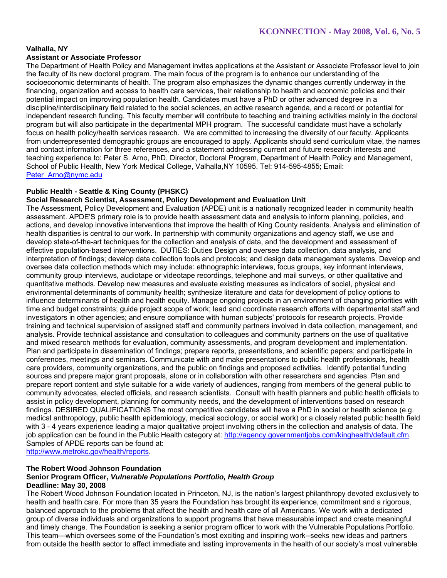#### **Valhalla, NY Assistant or Associate Professor**

The Department of Health Policy and Management invites applications at the Assistant or Associate Professor level to join the faculty of its new doctoral program. The main focus of the program is to enhance our understanding of the socioeconomic determinants of health. The program also emphasizes the dynamic changes currently underway in the financing, organization and access to health care services, their relationship to health and economic policies and their potential impact on improving population health. Candidates must have a PhD or other advanced degree in a discipline/interdisciplinary field related to the social sciences, an active research agenda, and a record or potential for independent research funding. This faculty member will contribute to teaching and training activities mainly in the doctoral program but will also participate in the departmental MPH program. The successful candidate must have a scholarly focus on health policy/health services research. We are committed to increasing the diversity of our faculty. Applicants from underrepresented demographic groups are encouraged to apply. Applicants should send curriculum vitae, the names and contact information for three references, and a statement addressing current and future research interests and teaching experience to: Peter S. Arno, PhD, Director, Doctoral Program, Department of Health Policy and Management, School of Public Health, New York Medical College, Valhalla,NY 10595. Tel: 914-595-4855; Email: Peter\_Arno@nymc.edu

# **Public Health - Seattle & King County (PHSKC)**

#### **Social Research Scientist, Assessment, Policy Development and Evaluation Unit**

The Assessment, Policy Development and Evaluation (APDE) unit is a nationally recognized leader in community health assessment. APDE'S primary role is to provide health assessment data and analysis to inform planning, policies, and actions, and develop innovative interventions that improve the health of King County residents. Analysis and elimination of health disparities is central to our work. In partnership with community organizations and agency staff, we use and develop state-of-the-art techniques for the collection and analysis of data, and the development and assessment of effective population-based interventions. DUTIES: Duties Design and oversee data collection, data analysis, and interpretation of findings; develop data collection tools and protocols; and design data management systems. Develop and oversee data collection methods which may include: ethnographic interviews, focus groups, key informant interviews, community group interviews, audiotape or videotape recordings, telephone and mail surveys, or other qualitative and quantitative methods. Develop new measures and evaluate existing measures as indicators of social, physical and environmental determinants of community health; synthesize literature and data for development of policy options to influence determinants of health and health equity. Manage ongoing projects in an environment of changing priorities with time and budget constraints; guide project scope of work; lead and coordinate research efforts with departmental staff and investigators in other agencies; and ensure compliance with human subjects' protocols for research projects. Provide training and technical supervision of assigned staff and community partners involved in data collection, management, and analysis. Provide technical assistance and consultation to colleagues and community partners on the use of qualitative and mixed research methods for evaluation, community assessments, and program development and implementation. Plan and participate in dissemination of findings; prepare reports, presentations, and scientific papers; and participate in conferences, meetings and seminars. Communicate with and make presentations to public health professionals, health care providers, community organizations, and the public on findings and proposed activities. Identify potential funding sources and prepare major grant proposals, alone or in collaboration with other researchers and agencies. Plan and prepare report content and style suitable for a wide variety of audiences, ranging from members of the general public to community advocates, elected officials, and research scientists. Consult with health planners and public health officials to assist in policy development, planning for community needs, and the development of interventions based on research findings. DESIRED QUALIFICATIONS The most competitive candidates will have a PhD in social or health science (e.g. medical anthropology, public health epidemiology, medical sociology, or social work) or a closely related public health field with 3 - 4 years experience leading a major qualitative project involving others in the collection and analysis of data. The job application can be found in the Public Health category at: http://agency.governmentjobs.com/kinghealth/default.cfm. Samples of APDE reports can be found at:

http://www.metrokc.gov/health/reports.

# **The Robert Wood Johnson Foundation**

# **Senior Program Officer,** *Vulnerable Populations Portfolio, Health Group*

**Deadline: May 30, 2008**

The Robert Wood Johnson Foundation located in Princeton, NJ, is the nation's largest philanthropy devoted exclusively to health and health care. For more than 35 years the Foundation has brought its experience, commitment and a rigorous, balanced approach to the problems that affect the health and health care of all Americans. We work with a dedicated group of diverse individuals and organizations to support programs that have measurable impact and create meaningful and timely change. The Foundation is seeking a senior program officer to work with the Vulnerable Populations Portfolio. This team—which oversees some of the Foundation's most exciting and inspiring work--seeks new ideas and partners from outside the health sector to affect immediate and lasting improvements in the health of our society's most vulnerable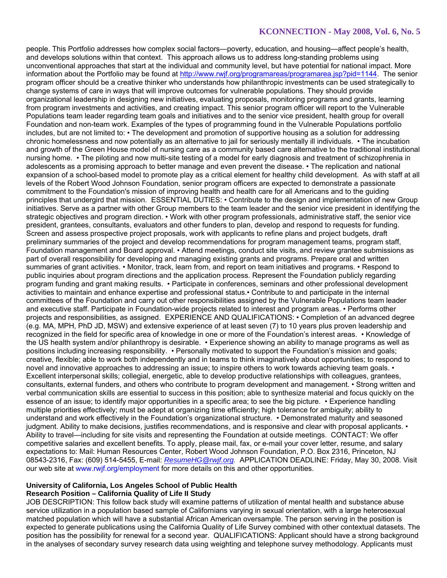people. This Portfolio addresses how complex social factors—poverty, education, and housing—affect people's health, and develops solutions within that context. This approach allows us to address long-standing problems using unconventional approaches that start at the individual and community level, but have potential for national impact. More information about the Portfolio may be found at http://www.rwjf.org/programareas/programarea.jsp?pid=1144. The senior program officer should be a creative thinker who understands how philanthropic investments can be used strategically to change systems of care in ways that will improve outcomes for vulnerable populations. They should provide organizational leadership in designing new initiatives, evaluating proposals, monitoring programs and grants, learning from program investments and activities, and creating impact. This senior program officer will report to the Vulnerable Populations team leader regarding team goals and initiatives and to the senior vice president, health group for overall Foundation and non-team work. Examples of the types of programming found in the Vulnerable Populations portfolio includes, but are not limited to: • The development and promotion of supportive housing as a solution for addressing chronic homelessness and now potentially as an alternative to jail for seriously mentally ill individuals. • The incubation and growth of the Green House model of nursing care as a community based care alternative to the traditional institutional nursing home. • The piloting and now multi-site testing of a model for early diagnosis and treatment of schizophrenia in adolescents as a promising approach to better manage and even prevent the disease. • The replication and national expansion of a school-based model to promote play as a critical element for healthy child development. As with staff at all levels of the Robert Wood Johnson Foundation, senior program officers are expected to demonstrate a passionate commitment to the Foundation's mission of improving health and health care for all Americans and to the guiding principles that undergird that mission. ESSENTIAL DUTIES: • Contribute to the design and implementation of new Group initiatives. Serve as a partner with other Group members to the team leader and the senior vice president in identifying the strategic objectives and program direction. • Work with other program professionals, administrative staff, the senior vice president, grantees, consultants, evaluators and other funders to plan, develop and respond to requests for funding. Screen and assess prospective project proposals, work with applicants to refine plans and project budgets, draft preliminary summaries of the project and develop recommendations for program management teams, program staff, Foundation management and Board approval. • Attend meetings, conduct site visits, and review grantee submissions as part of overall responsibility for developing and managing existing grants and programs. Prepare oral and written summaries of grant activities. • Monitor, track, learn from, and report on team initiatives and programs. • Respond to public inquiries about program directions and the application process. Represent the Foundation publicly regarding program funding and grant making results. • Participate in conferences, seminars and other professional development activities to maintain and enhance expertise and professional status.• Contribute to and participate in the internal committees of the Foundation and carry out other responsibilities assigned by the Vulnerable Populations team leader and executive staff. Participate in Foundation-wide projects related to interest and program areas. • Performs other projects and responsibilities, as assigned. EXPERIENCE AND QUALIFICATIONS: • Completion of an advanced degree (e.g. MA, MPH, PhD JD, MSW) and extensive experience of at least seven (7) to 10 years plus proven leadership and recognized in the field for specific area of knowledge in one or more of the Foundation's interest areas. • Knowledge of the US health system and/or philanthropy is desirable. • Experience showing an ability to manage programs as well as positions including increasing responsibility. • Personally motivated to support the Foundation's mission and goals; creative, flexible; able to work both independently and in teams to think imaginatively about opportunities; to respond to novel and innovative approaches to addressing an issue; to inspire others to work towards achieving team goals.  $\cdot$ Excellent interpersonal skills; collegial, energetic, able to develop productive relationships with colleagues, grantees, consultants, external funders, and others who contribute to program development and management. • Strong written and verbal communication skills are essential to success in this position; able to synthesize material and focus quickly on the essence of an issue; to identify major opportunities in a specific area; to see the big picture. • Experience handling multiple priorities effectively; must be adept at organizing time efficiently; high tolerance for ambiguity; ability to understand and work effectively in the Foundation's organizational structure. • Demonstrated maturity and seasoned judgment. Ability to make decisions, justifies recommendations, and is responsive and clear with proposal applicants. • Ability to travel—including for site visits and representing the Foundation at outside meetings. CONTACT: We offer competitive salaries and excellent benefits. To apply, please mail, fax, or e-mail your cover letter, resume, and salary expectations to: Mail: Human Resources Center, Robert Wood Johnson Foundation, P.O. Box 2316, Princeton, NJ 08543-2316, Fax: (609) 514-5455, E-mail: *ResumeHG@rwjf.org.* APPLICATION DEADLINE: Friday, May 30, 2008. Visit our web site at www.rwjf.org/employment for more details on this and other opportunities.

# **University of California, Los Angeles School of Public Health**

# **Research Position – California Quality of Life II Study**

JOB DESCRIPTION: This follow back study will examine patterns of utilization of mental health and substance abuse service utilization in a population based sample of Californians varying in sexual orientation, with a large heterosexual matched population which will have a substantial African American oversample. The person serving in the position is expected to generate publications using the California Quality of Life Survey combined with other contextual datasets. The position has the possibility for renewal for a second year. QUALIFICATIONS: Applicant should have a strong background in the analyses of secondary survey research data using weighting and telephone survey methodology. Applicants must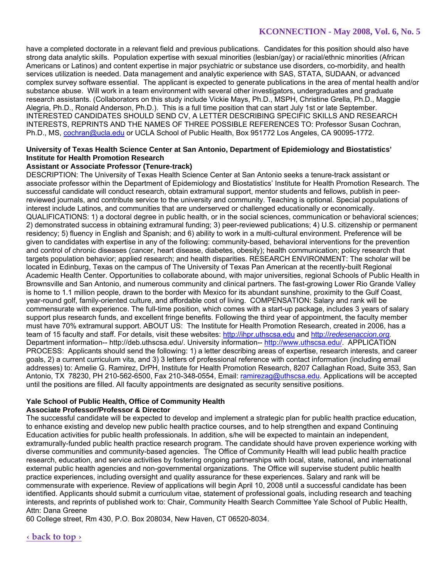have a completed doctorate in a relevant field and previous publications. Candidates for this position should also have strong data analytic skills. Population expertise with sexual minorities (lesbian/gay) or racial/ethnic minorities (African Americans or Latinos) and content expertise in major psychiatric or substance use disorders, co-morbidity, and health services utilization is needed. Data management and analytic experience with SAS, STATA, SUDAAN, or advanced complex survey software essential. The applicant is expected to generate publications in the area of mental health and/or substance abuse. Will work in a team environment with several other investigators, undergraduates and graduate research assistants. (Collaborators on this study include Vickie Mays, Ph.D., MSPH, Christine Grella, Ph.D., Maggie Alegria, Ph.D., Ronald Anderson, Ph.D.). This is a full time position that can start July 1st or late September. INTERESTED CANDIDATES SHOULD SEND CV, A LETTER DESCRIBING SPECIFIC SKILLS AND RESEARCH INTERESTS, REPRINTS AND THE NAMES OF THREE POSSIBLE REFERENCES TO: Professor Susan Cochran, Ph.D., MS, cochran@ucla.edu or UCLA School of Public Health, Box 951772 Los Angeles, CA 90095-1772.

### **University of Texas Health Science Center at San Antonio, Department of Epidemiology and Biostatistics' Institute for Health Promotion Research**

#### **Assistant or Associate Professor (Tenure-track)**

DESCRIPTION: The University of Texas Health Science Center at San Antonio seeks a tenure-track assistant or associate professor within the Department of Epidemiology and Biostatistics' Institute for Health Promotion Research. The successful candidate will conduct research, obtain extramural support, mentor students and fellows, publish in peerreviewed journals, and contribute service to the university and community. Teaching is optional. Special populations of interest include Latinos, and communities that are underserved or challenged educationally or economically. QUALIFICATIONS: 1) a doctoral degree in public health, or in the social sciences, communication or behavioral sciences; 2) demonstrated success in obtaining extramural funding; 3) peer-reviewed publications; 4) U.S. citizenship or permanent residency; 5) fluency in English and Spanish; and 6) ability to work in a multi-cultural environment. Preference will be given to candidates with expertise in any of the following: community-based, behavioral interventions for the prevention and control of chronic diseases (cancer, heart disease, diabetes, obesity); health communication; policy research that targets population behavior; applied research; and health disparities. RESEARCH ENVIRONMENT: The scholar will be located in Edinburg, Texas on the campus of The University of Texas Pan American at the recently-built Regional Academic Health Center. Opportunities to collaborate abound, with major universities, regional Schools of Public Health in Brownsville and San Antonio, and numerous community and clinical partners. The fast-growing Lower Rio Grande Valley is home to 1.1 million people, drawn to the border with Mexico for its abundant sunshine, proximity to the Gulf Coast, year-round golf, family-oriented culture, and affordable cost of living. COMPENSATION: Salary and rank will be commensurate with experience. The full-time position, which comes with a start-up package, includes 3 years of salary support plus research funds, and excellent fringe benefits. Following the third year of appointment, the faculty member must have 70% extramural support. ABOUT US: The Institute for Health Promotion Research, created in 2006, has a team of 15 faculty and staff. For details, visit these websites: http://ihpr.uthscsa.edu and http://*redesenaccion.org.*  Department information-- http://deb.uthscsa.edu/. University information-- http://www.uthscsa.edu/. APPLICATION PROCESS: Applicants should send the following: 1) a letter describing areas of expertise, research interests, and career goals, 2) a current curriculum vita, and 3) 3 letters of professional reference with contact information (including email addresses) to: Amelie G. Ramirez, DrPH, Institute for Health Promotion Research, 8207 Callaghan Road, Suite 353, San Antonio, TX 78230, PH 210-562-6500, Fax 210-348-0554, Email: ramirezag@uthscsa.edu. Applications will be accepted until the positions are filled. All faculty appointments are designated as security sensitive positions.

#### **Yale School of Public Health, Office of Community Health Associate Professor/Professor & Director**

The successful candidate will be expected to develop and implement a strategic plan for public health practice education, to enhance existing and develop new public health practice courses, and to help strengthen and expand Continuing Education activities for public health professionals. In addition, s/he will be expected to maintain an independent, extramurally-funded public health practice research program. The candidate should have proven experience working with diverse communities and community-based agencies. The Office of Community Health will lead public health practice research, education, and service activities by fostering ongoing partnerships with local, state, national, and international external public health agencies and non-governmental organizations. The Office will supervise student public health practice experiences, including oversight and quality assurance for these experiences. Salary and rank will be commensurate with experience. Review of applications will begin April 10, 2008 until a successful candidate has been identified. Applicants should submit a curriculum vitae, statement of professional goals, including research and teaching interests, and reprints of published work to: Chair, Community Health Search Committee Yale School of Public Health, Attn: Dana Greene

60 College street, Rm 430, P.O. Box 208034, New Haven, CT 06520-8034.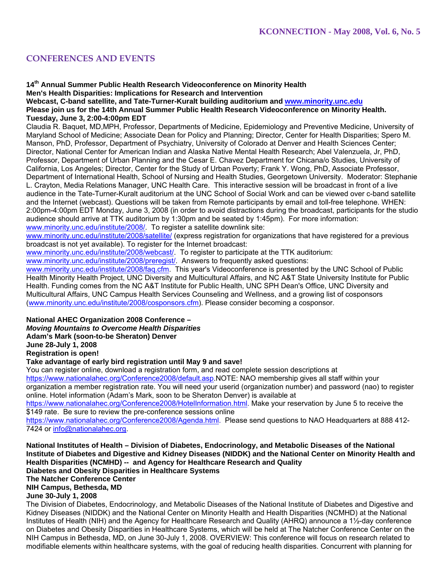# **CONFERENCES AND EVENTS**

**14th Annual Summer Public Health Research Videoconference on Minority Health** 

**Men's Health Disparities: Implications for Research and Intervention** 

**Webcast, C-band satellite, and Tate-Turner-Kuralt building auditorium and www.minority.unc.edu**

**Please join us for the 14th Annual Summer Public Health Research Videoconference on Minority Health. Tuesday, June 3, 2:00-4:00pm EDT** 

Claudia R. Baquet, MD,MPH, Professor, Departments of Medicine, Epidemiology and Preventive Medicine, University of Maryland School of Medicine; Associate Dean for Policy and Planning; Director, Center for Health Disparities; Spero M. Manson, PhD, Professor, Department of Psychiatry, University of Colorado at Denver and Health Sciences Center; Director, National Center for American Indian and Alaska Native Mental Health Research; Abel Valenzuela, Jr, PhD, Professor, Department of Urban Planning and the Cesar E. Chavez Department for Chicana/o Studies, University of California, Los Angeles; Director, Center for the Study of Urban Poverty; Frank Y. Wong, PhD, Associate Professor, Department of International Health, School of Nursing and Health Studies, Georgetown University. Moderator: Stephanie L. Crayton, Media Relations Manager, UNC Health Care. This interactive session will be broadcast in front of a live audience in the Tate-Turner-Kuralt auditorium at the UNC School of Social Work and can be viewed over c-band satellite and the Internet (webcast). Questions will be taken from Remote participants by email and toll-free telephone. WHEN: 2:00pm-4:00pm EDT Monday, June 3, 2008 (in order to avoid distractions during the broadcast, participants for the studio audience should arrive at TTK auditorium by 1:30pm and be seated by 1:45pm). For more information: www.minority.unc.edu/institute/2008/. To register a satellite downlink site:

www.minority.unc.edu/institute/2008/satellite/ (express registration for organizations that have registered for a previous broadcast is not yet available). To register for the Internet broadcast:

www.minority.unc.edu/institute/2008/webcast/. To register to participate at the TTK auditorium:

www.minority.unc.edu/institute/2008/preregist/. Answers to frequently asked questions:

www.minority.unc.edu/institute/2008/faq.cfm. This year's Videoconference is presented by the UNC School of Public Health Minority Health Project, UNC Diversity and Multicultural Affairs, and NC A&T State University Institute for Public Health. Funding comes from the NC A&T Institute for Public Health, UNC SPH Dean's Office, UNC Diversity and Multicultural Affairs, UNC Campus Health Services Counseling and Wellness, and a growing list of cosponsors (www.minority.unc.edu/institute/2008/cosponsors.cfm). Please consider becoming a cosponsor.

#### **National AHEC Organization 2008 Conference –**

*Moving Mountains to Overcome Health Disparities*

**Adam's Mark (soon-to-be Sheraton) Denver** 

**June 28-July 1, 2008** 

**Registration is open!** 

# **Take advantage of early bird registration until May 9 and save!**

You can register online, download a registration form, and read complete session descriptions at https://www.nationalahec.org/Conference2008/default.asp.NOTE: NAO membership gives all staff within your organization a member registration rate. You will need your userid (organization number) and password (nao) to register online. Hotel information (Adam's Mark, soon to be Sheraton Denver) is available at

https://www.nationalahec.org/Conference2008/HotelInformation.html. Make your reservation by June 5 to receive the \$149 rate. Be sure to review the pre-conference sessions online

https://www.nationalahec.org/Conference2008/Agenda.html. Please send questions to NAO Headquarters at 888 412-7424 or info@nationalahec.org.

**National Institutes of Health – Division of Diabetes, Endocrinology, and Metabolic Diseases of the National Institute of Diabetes and Digestive and Kidney Diseases (NIDDK) and the National Center on Minority Health and Health Disparities (NCMHD) -- and Agency for Healthcare Research and Quality Diabetes and Obesity Disparities in Healthcare Systems** 

#### **The Natcher Conference Center**

**NIH Campus, Bethesda, MD** 

#### **June 30-July 1, 2008**

The Division of Diabetes, Endocrinology, and Metabolic Diseases of the National Institute of Diabetes and Digestive and Kidney Diseases (NIDDK) and the National Center on Minority Health and Health Disparities (NCMHD) at the National Institutes of Health (NIH) and the Agency for Healthcare Research and Quality (AHRQ) announce a 1½-day conference on Diabetes and Obesity Disparities in Healthcare Systems, which will be held at The Natcher Conference Center on the NIH Campus in Bethesda, MD, on June 30-July 1, 2008. OVERVIEW: This conference will focus on research related to modifiable elements within healthcare systems, with the goal of reducing health disparities. Concurrent with planning for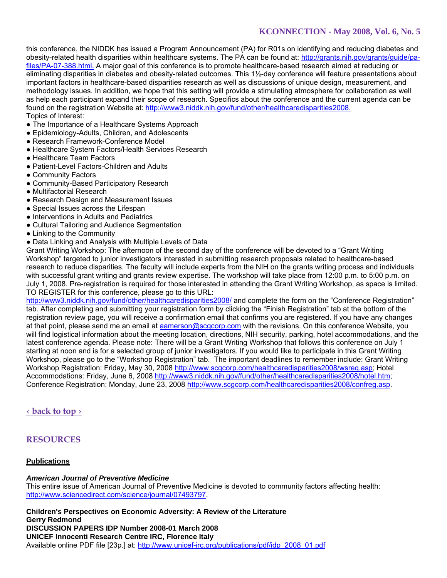this conference, the NIDDK has issued a Program Announcement (PA) for R01s on identifying and reducing diabetes and obesity-related health disparities within healthcare systems. The PA can be found at: http://grants.nih.gov/grants/guide/pafiles/PA-07-388.html. A major goal of this conference is to promote healthcare-based research aimed at reducing or eliminating disparities in diabetes and obesity-related outcomes. This 1½-day conference will feature presentations about important factors in healthcare-based disparities research as well as discussions of unique design, measurement, and methodology issues. In addition, we hope that this setting will provide a stimulating atmosphere for collaboration as well as help each participant expand their scope of research. Specifics about the conference and the current agenda can be found on the registration Website at: http://www3.niddk.nih.gov/fund/other/healthcaredisparities2008. Topics of Interest:

- The Importance of a Healthcare Systems Approach
- Epidemiology-Adults, Children, and Adolescents
- Research Framework-Conference Model
- Healthcare System Factors/Health Services Research
- Healthcare Team Factors
- Patient-Level Factors-Children and Adults
- Community Factors
- Community-Based Participatory Research
- Multifactorial Research
- Research Design and Measurement Issues
- Special Issues across the Lifespan
- Interventions in Adults and Pediatrics
- Cultural Tailoring and Audience Segmentation
- Linking to the Community
- Data Linking and Analysis with Multiple Levels of Data

Grant Writing Workshop: The afternoon of the second day of the conference will be devoted to a "Grant Writing Workshop" targeted to junior investigators interested in submitting research proposals related to healthcare-based research to reduce disparities. The faculty will include experts from the NIH on the grants writing process and individuals with successful grant writing and grants review expertise. The workshop will take place from 12:00 p.m. to 5:00 p.m. on July 1, 2008. Pre-registration is required for those interested in attending the Grant Writing Workshop, as space is limited. TO REGISTER for this conference, please go to this URL:

http://www3.niddk.nih.gov/fund/other/healthcaredisparities2008/ and complete the form on the "Conference Registration" tab. After completing and submitting your registration form by clicking the "Finish Registration" tab at the bottom of the registration review page, you will receive a confirmation email that confirms you are registered. If you have any changes at that point, please send me an email at aamerson@scgcorp.com with the revisions. On this conference Website, you will find logistical information about the meeting location, directions, NIH security, parking, hotel accommodations, and the latest conference agenda. Please note: There will be a Grant Writing Workshop that follows this conference on July 1 starting at noon and is for a selected group of junior investigators. If you would like to participate in this Grant Writing Workshop, please go to the "Workshop Registration" tab. The important deadlines to remember include: Grant Writing Workshop Registration: Friday, May 30, 2008 http://www.scgcorp.com/healthcaredisparities2008/wsreg.asp; Hotel Accommodations: Friday, June 6, 2008 http://www3.niddk.nih.gov/fund/other/healthcaredisparities2008/hotel.htm; Conference Registration: Monday, June 23, 2008 http://www.scgcorp.com/healthcaredisparities2008/confreg.asp.

**‹ back to top ›**

# **RESOURCES**

# **Publications**

#### *American Journal of Preventive Medicine*

This entire issue of American Journal of Preventive Medicine is devoted to community factors affecting health: http://www.sciencedirect.com/science/journal/07493797.

**Children's Perspectives on Economic Adversity: A Review of the Literature Gerry Redmond DISCUSSION PAPERS IDP Number 2008-01 March 2008 UNICEF Innocenti Research Centre IRC, Florence Italy**  Available online PDF file [23p.] at: http://www.unicef-irc.org/publications/pdf/idp\_2008\_01.pdf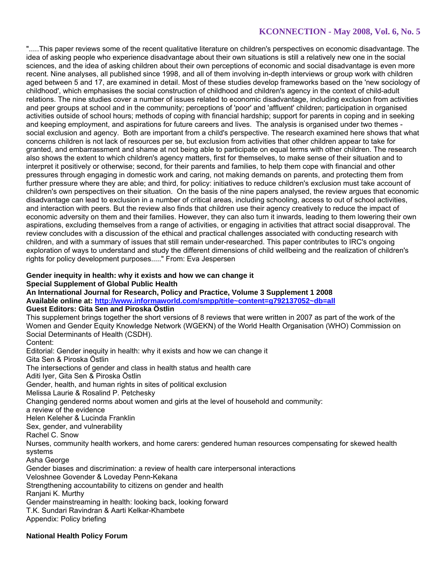".....This paper reviews some of the recent qualitative literature on children's perspectives on economic disadvantage. The idea of asking people who experience disadvantage about their own situations is still a relatively new one in the social sciences, and the idea of asking children about their own perceptions of economic and social disadvantage is even more recent. Nine analyses, all published since 1998, and all of them involving in-depth interviews or group work with children aged between 5 and 17, are examined in detail. Most of these studies develop frameworks based on the 'new sociology of childhood', which emphasises the social construction of childhood and children's agency in the context of child-adult relations. The nine studies cover a number of issues related to economic disadvantage, including exclusion from activities and peer groups at school and in the community; perceptions of 'poor' and 'affluent' children; participation in organised activities outside of school hours; methods of coping with financial hardship; support for parents in coping and in seeking and keeping employment, and aspirations for future careers and lives. The analysis is organised under two themes social exclusion and agency. Both are important from a child's perspective. The research examined here shows that what concerns children is not lack of resources per se, but exclusion from activities that other children appear to take for granted, and embarrassment and shame at not being able to participate on equal terms with other children. The research also shows the extent to which children's agency matters, first for themselves, to make sense of their situation and to interpret it positively or otherwise; second, for their parents and families, to help them cope with financial and other pressures through engaging in domestic work and caring, not making demands on parents, and protecting them from further pressure where they are able; and third, for policy: initiatives to reduce children's exclusion must take account of children's own perspectives on their situation. On the basis of the nine papers analysed, the review argues that economic disadvantage can lead to exclusion in a number of critical areas, including schooling, access to out of school activities, and interaction with peers. But the review also finds that children use their agency creatively to reduce the impact of economic adversity on them and their families. However, they can also turn it inwards, leading to them lowering their own aspirations, excluding themselves from a range of activities, or engaging in activities that attract social disapproval. The review concludes with a discussion of the ethical and practical challenges associated with conducting research with children, and with a summary of issues that still remain under-researched. This paper contributes to IRC's ongoing exploration of ways to understand and study the different dimensions of child wellbeing and the realization of children's rights for policy development purposes....." From: Eva Jespersen

#### **Gender inequity in health: why it exists and how we can change it Special Supplement of Global Public Health**

**An International Journal for Research, Policy and Practice, Volume 3 Supplement 1 2008 Available online at: http://www.informaworld.com/smpp/title~content=g792137052~db=all** 

**Guest Editors: Gita Sen and Piroska Östlin** 

This supplement brings together the short versions of 8 reviews that were written in 2007 as part of the work of the Women and Gender Equity Knowledge Network (WGEKN) of the World Health Organisation (WHO) Commission on Social Determinants of Health (CSDH).

#### Content:

Editorial: Gender inequity in health: why it exists and how we can change it Gita Sen & Piroska Östlin The intersections of gender and class in health status and health care Aditi Iyer, Gita Sen & Piroska Östlin Gender, health, and human rights in sites of political exclusion Melissa Laurie & Rosalind P. Petchesky Changing gendered norms about women and girls at the level of household and community: a review of the evidence Helen Keleher & Lucinda Franklin Sex, gender, and vulnerability Rachel C. Snow Nurses, community health workers, and home carers: gendered human resources compensating for skewed health systems Asha George Gender biases and discrimination: a review of health care interpersonal interactions Veloshnee Govender & Loveday Penn-Kekana Strengthening accountability to citizens on gender and health Ranjani K. Murthy Gender mainstreaming in health: looking back, looking forward T.K. Sundari Ravindran & Aarti Kelkar-Khambete

Appendix: Policy briefing

#### **National Health Policy Forum**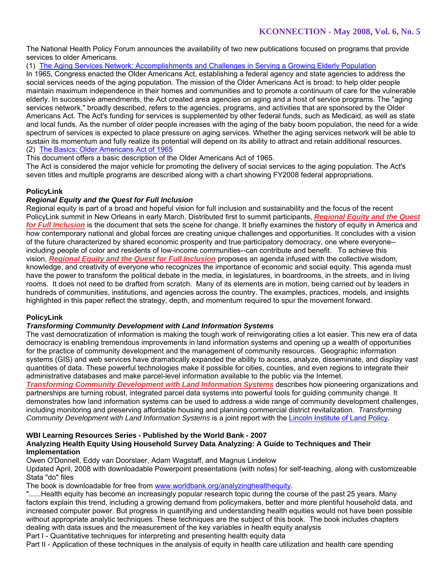The National Health Policy Forum announces the availability of two new publications focused on programs that provide services to older Americans.

(1) The Aging Services Network: Accomplishments and Challenges in Serving a Growing Elderly Population

In 1965, Congress enacted the Older Americans Act, establishing a federal agency and state agencies to address the social services needs of the aging population. The mission of the Older Americans Act is broad: to help older people maintain maximum independence in their homes and communities and to promote a continuum of care for the vulnerable elderly. In successive amendments, the Act created area agencies on aging and a host of service programs. The "aging services network," broadly described, refers to the agencies, programs, and activities that are sponsored by the Older Americans Act. The Act's funding for services is supplemented by other federal funds, such as Medicaid, as well as state and local funds. As the number of older people increases with the aging of the baby boom population, the need for a wide spectrum of services is expected to place pressure on aging services. Whether the aging services network will be able to sustain its momentum and fully realize its potential will depend on its ability to attract and retain additional resources. (2) The Basics: Older Americans Act of 1965

This document offers a basic description of the Older Americans Act of 1965.

The Act is considered the major vehicle for promoting the delivery of social services to the aging population. The Act's seven titles and multiple programs are described along with a chart showing FY2008 federal appropriations.

### **PolicyLink**

#### *Regional Equity and the Quest for Full Inclusion*

Regional equity is part of a broad and hopeful vision for full inclusion and sustainability and the focus of the recent PolicyLink summit in New Orleans in early March. Distributed first to summit participants, *Regional Equity and the Quest for Full Inclusion* is the document that sets the scene for change. It briefly examines the history of equity in America and how contemporary national and global forces are creating unique challenges and opportunities. It concludes with a vision of the future characterized by shared economic prosperity and true participatory democracy, one where everyone- including people of color and residents of low-income communities--can contribute and benefit. To achieve this vision, *Regional Equity and the Quest for Full Inclusion* proposes an agenda infused with the collective wisdom, knowledge, and creativity of everyone who recognizes the importance of economic and social equity. This agenda must have the power to transform the political debate in the media, in legislatures, in boardrooms, in the streets, and in living rooms. It does not need to be drafted from scratch. Many of its elements are in motion, being carried out by leaders in hundreds of communities, institutions, and agencies across the country. The examples, practices, models, and insights highlighted in this paper reflect the strategy, depth, and momentum required to spur the movement forward.

# **PolicyLink**

#### *Transforming Community Development with Land Information Systems*

The vast democratization of information is making the tough work of reinvigorating cities a lot easier. This new era of data democracy is enabling tremendous improvements in land information systems and opening up a wealth of opportunities for the practice of community development and the management of community resources. Geographic information systems (GIS) and web services have dramatically expanded the ability to access, analyze, disseminate, and display vast quantities of data. These powerful technologies make it possible for cities, counties, and even regions to integrate their administrative databases and make parcel-level information available to the public via the Internet.

*Transforming Community Development with Land Information Systems* describes how pioneering organizations and partnerships are turning robust, integrated parcel data systems into powerful tools for guiding community change. It demonstrates how land information systems can be used to address a wide range of community development challenges, including monitoring and preserving affordable housing and planning commercial district revitalization. *Transforming Community Development with Land Information Systems* is a joint report with the Lincoln Institute of Land Policy.

#### **WBI Learning Resources Series - Published by the World Bank - 2007**

### **Analyzing Health Equity Using Household Survey Data Analyzing: A Guide to Techniques and Their Implementation**

Owen O'Donnell, Eddy van Doorslaer, Adam Wagstaff, and Magnus Lindelow

Updated April, 2008 with downloadable Powerpoint presentations (with notes) for self-teaching, along with customizeable Stata "do" files

The book is downloadable for free from www.worldbank.org/analyzinghealthequity.

"......Health equity has become an increasingly popular research topic during the course of the past 25 years. Many factors explain this trend, including a growing demand from policymakers, better and more plentiful household data, and increased computer power. But progress in quantifying and understanding health equities would not have been possible without appropriate analytic techniques. These techniques are the subject of this book. The book includes chapters dealing with data issues and the measurement of the key variables in health equity analysis

Part I - Quantitative techniques for interpreting and presenting health equity data

Part II - Application of these techniques in the analysis of equity in health care utilization and health care spending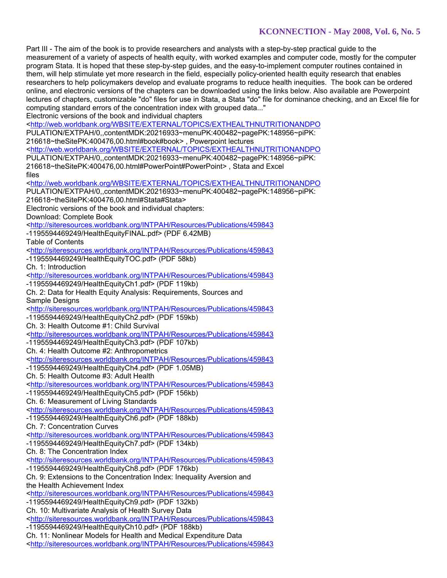Part III - The aim of the book is to provide researchers and analysts with a step-by-step practical guide to the measurement of a variety of aspects of health equity, with worked examples and computer code, mostly for the computer program Stata. It is hoped that these step-by-step guides, and the easy-to-implement computer routines contained in them, will help stimulate yet more research in the field, especially policy-oriented health equity research that enables researchers to help policymakers develop and evaluate programs to reduce health inequities. The book can be ordered online, and electronic versions of the chapters can be downloaded using the links below. Also available are Powerpoint lectures of chapters, customizable "do" files for use in Stata, a Stata "do" file for dominance checking, and an Excel file for computing standard errors of the concentration index with grouped data..."

Electronic versions of the book and individual chapters

<http://web.worldbank.org/WBSITE/EXTERNAL/TOPICS/EXTHEALTHNUTRITIONANDPO

PULATION/EXTPAH/0,,contentMDK:20216933~menuPK:400482~pagePK:148956~piPK:

216618~theSitePK:400476,00.html#book#book> , Powerpoint lectures

<http://web.worldbank.org/WBSITE/EXTERNAL/TOPICS/EXTHEALTHNUTRITIONANDPO

PULATION/EXTPAH/0,,contentMDK:20216933~menuPK:400482~pagePK:148956~piPK:

216618~theSitePK:400476,00.html#PowerPoint#PowerPoint> , Stata and Excel files

<http://web.worldbank.org/WBSITE/EXTERNAL/TOPICS/EXTHEALTHNUTRITIONANDPO

PULATION/EXTPAH/0,,contentMDK:20216933~menuPK:400482~pagePK:148956~piPK: 216618~theSitePK:400476,00.html#Stata#Stata>

Electronic versions of the book and individual chapters:

Download: Complete Book

<http://siteresources.worldbank.org/INTPAH/Resources/Publications/459843

-1195594469249/HealthEquityFINAL.pdf> (PDF 6.42MB)

Table of Contents

<http://siteresources.worldbank.org/INTPAH/Resources/Publications/459843

-1195594469249/HealthEquityTOC.pdf> (PDF 58kb)

Ch. 1: Introduction

<http://siteresources.worldbank.org/INTPAH/Resources/Publications/459843

-1195594469249/HealthEquityCh1.pdf> (PDF 119kb)

Ch. 2: Data for Health Equity Analysis: Requirements, Sources and Sample Designs

<http://siteresources.worldbank.org/INTPAH/Resources/Publications/459843

-1195594469249/HealthEquityCh2.pdf> (PDF 159kb)

Ch. 3: Health Outcome #1: Child Survival

<http://siteresources.worldbank.org/INTPAH/Resources/Publications/459843

-1195594469249/HealthEquityCh3.pdf> (PDF 107kb)

Ch. 4: Health Outcome #2: Anthropometrics

<http://siteresources.worldbank.org/INTPAH/Resources/Publications/459843

-1195594469249/HealthEquityCh4.pdf> (PDF 1.05MB)

Ch. 5: Health Outcome #3: Adult Health

<http://siteresources.worldbank.org/INTPAH/Resources/Publications/459843

-1195594469249/HealthEquityCh5.pdf> (PDF 156kb)

Ch. 6: Measurement of Living Standards

<http://siteresources.worldbank.org/INTPAH/Resources/Publications/459843

-1195594469249/HealthEquityCh6.pdf> (PDF 188kb)

Ch. 7: Concentration Curves

<http://siteresources.worldbank.org/INTPAH/Resources/Publications/459843

-1195594469249/HealthEquityCh7.pdf> (PDF 134kb)

Ch. 8: The Concentration Index

<http://siteresources.worldbank.org/INTPAH/Resources/Publications/459843

-1195594469249/HealthEquityCh8.pdf> (PDF 176kb)

Ch. 9: Extensions to the Concentration Index: Inequality Aversion and the Health Achievement Index

<http://siteresources.worldbank.org/INTPAH/Resources/Publications/459843

-1195594469249/HealthEquityCh9.pdf> (PDF 132kb) Ch. 10: Multivariate Analysis of Health Survey Data

<http://siteresources.worldbank.org/INTPAH/Resources/Publications/459843 -1195594469249/HealthEquityCh10.pdf> (PDF 188kb)

Ch. 11: Nonlinear Models for Health and Medical Expenditure Data

<http://siteresources.worldbank.org/INTPAH/Resources/Publications/459843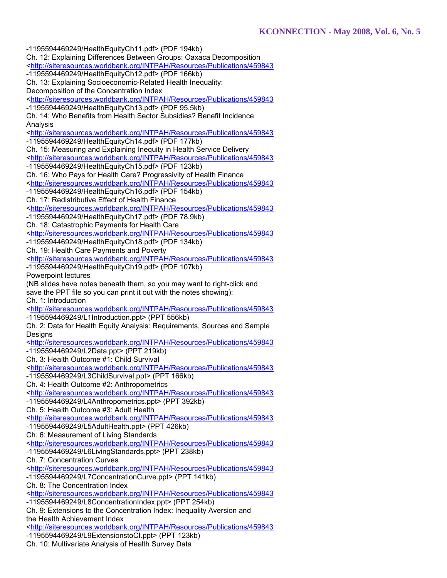-1195594469249/HealthEquityCh11.pdf> (PDF 194kb) Ch. 12: Explaining Differences Between Groups: Oaxaca Decomposition <http://siteresources.worldbank.org/INTPAH/Resources/Publications/459843 -1195594469249/HealthEquityCh12.pdf> (PDF 166kb) Ch. 13: Explaining Socioeconomic-Related Health Inequality: Decomposition of the Concentration Index <http://siteresources.worldbank.org/INTPAH/Resources/Publications/459843 -1195594469249/HealthEquityCh13.pdf> (PDF 95.5kb) Ch. 14: Who Benefits from Health Sector Subsidies? Benefit Incidence Analysis <http://siteresources.worldbank.org/INTPAH/Resources/Publications/459843 -1195594469249/HealthEquityCh14.pdf> (PDF 177kb) Ch. 15: Measuring and Explaining Inequity in Health Service Delivery <http://siteresources.worldbank.org/INTPAH/Resources/Publications/459843 -1195594469249/HealthEquityCh15.pdf> (PDF 123kb) Ch. 16: Who Pays for Health Care? Progressivity of Health Finance <http://siteresources.worldbank.org/INTPAH/Resources/Publications/459843 -1195594469249/HealthEquityCh16.pdf> (PDF 154kb) Ch. 17: Redistributive Effect of Health Finance <http://siteresources.worldbank.org/INTPAH/Resources/Publications/459843 -1195594469249/HealthEquityCh17.pdf> (PDF 78.9kb) Ch. 18: Catastrophic Payments for Health Care <http://siteresources.worldbank.org/INTPAH/Resources/Publications/459843 -1195594469249/HealthEquityCh18.pdf> (PDF 134kb) Ch. 19: Health Care Payments and Poverty <http://siteresources.worldbank.org/INTPAH/Resources/Publications/459843 -1195594469249/HealthEquityCh19.pdf> (PDF 107kb) Powerpoint lectures (NB slides have notes beneath them, so you may want to right-click and save the PPT file so you can print it out with the notes showing): Ch. 1: Introduction <http://siteresources.worldbank.org/INTPAH/Resources/Publications/459843 -1195594469249/L1Introduction.ppt> (PPT 556kb) Ch. 2: Data for Health Equity Analysis: Requirements, Sources and Sample **Designs** <http://siteresources.worldbank.org/INTPAH/Resources/Publications/459843 -1195594469249/L2Data.ppt> (PPT 219kb) Ch. 3: Health Outcome #1: Child Survival <http://siteresources.worldbank.org/INTPAH/Resources/Publications/459843 -1195594469249/L3ChildSurvival.ppt> (PPT 166kb) Ch. 4: Health Outcome #2: Anthropometrics <http://siteresources.worldbank.org/INTPAH/Resources/Publications/459843 -1195594469249/L4Anthropometrics.ppt> (PPT 392kb) Ch. 5: Health Outcome #3: Adult Health <http://siteresources.worldbank.org/INTPAH/Resources/Publications/459843 -1195594469249/L5AdultHealth.ppt> (PPT 426kb) Ch. 6: Measurement of Living Standards <http://siteresources.worldbank.org/INTPAH/Resources/Publications/459843 -1195594469249/L6LivingStandards.ppt> (PPT 238kb) Ch. 7: Concentration Curves <http://siteresources.worldbank.org/INTPAH/Resources/Publications/459843 -1195594469249/L7ConcentrationCurve.ppt> (PPT 141kb) Ch. 8: The Concentration Index <http://siteresources.worldbank.org/INTPAH/Resources/Publications/459843 -1195594469249/L8ConcentrationIndex.ppt> (PPT 254kb) Ch. 9: Extensions to the Concentration Index: Inequality Aversion and the Health Achievement Index <http://siteresources.worldbank.org/INTPAH/Resources/Publications/459843 -1195594469249/L9ExtensionstoCI.ppt> (PPT 123kb)

Ch. 10: Multivariate Analysis of Health Survey Data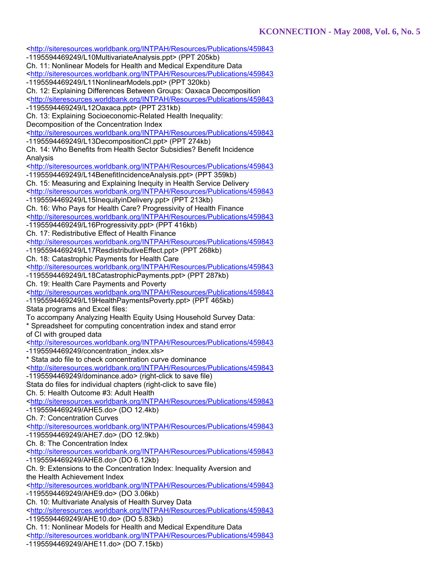<http://siteresources.worldbank.org/INTPAH/Resources/Publications/459843 -1195594469249/L10MultivariateAnalysis.ppt> (PPT 205kb) Ch. 11: Nonlinear Models for Health and Medical Expenditure Data <http://siteresources.worldbank.org/INTPAH/Resources/Publications/459843 -1195594469249/L11NonlinearModels.ppt> (PPT 320kb) Ch. 12: Explaining Differences Between Groups: Oaxaca Decomposition <http://siteresources.worldbank.org/INTPAH/Resources/Publications/459843 -1195594469249/L12Oaxaca.ppt> (PPT 231kb) Ch. 13: Explaining Socioeconomic-Related Health Inequality: Decomposition of the Concentration Index <http://siteresources.worldbank.org/INTPAH/Resources/Publications/459843 -1195594469249/L13DecompositionCI.ppt> (PPT 274kb) Ch. 14: Who Benefits from Health Sector Subsidies? Benefit Incidence Analysis <http://siteresources.worldbank.org/INTPAH/Resources/Publications/459843 -1195594469249/L14BenefitIncidenceAnalysis.ppt> (PPT 359kb) Ch. 15: Measuring and Explaining Inequity in Health Service Delivery <http://siteresources.worldbank.org/INTPAH/Resources/Publications/459843 -1195594469249/L15InequityinDelivery.ppt> (PPT 213kb) Ch. 16: Who Pays for Health Care? Progressivity of Health Finance <http://siteresources.worldbank.org/INTPAH/Resources/Publications/459843 -1195594469249/L16Progressivity.ppt> (PPT 416kb) Ch. 17: Redistributive Effect of Health Finance <http://siteresources.worldbank.org/INTPAH/Resources/Publications/459843 -1195594469249/L17ResdistributiveEffect.ppt> (PPT 268kb) Ch. 18: Catastrophic Payments for Health Care <http://siteresources.worldbank.org/INTPAH/Resources/Publications/459843 -1195594469249/L18CatastrophicPayments.ppt> (PPT 287kb) Ch. 19: Health Care Payments and Poverty <http://siteresources.worldbank.org/INTPAH/Resources/Publications/459843 -1195594469249/L19HealthPaymentsPoverty.ppt> (PPT 465kb) Stata programs and Excel files: To accompany Analyzing Health Equity Using Household Survey Data: \* Spreadsheet for computing concentration index and stand error of CI with grouped data <http://siteresources.worldbank.org/INTPAH/Resources/Publications/459843 -1195594469249/concentration\_index.xls> \* Stata ado file to check concentration curve dominance <http://siteresources.worldbank.org/INTPAH/Resources/Publications/459843 -1195594469249/dominance.ado> (right-click to save file) Stata do files for individual chapters (right-click to save file) Ch. 5: Health Outcome #3: Adult Health <http://siteresources.worldbank.org/INTPAH/Resources/Publications/459843 -1195594469249/AHE5.do> (DO 12.4kb) Ch. 7: Concentration Curves <http://siteresources.worldbank.org/INTPAH/Resources/Publications/459843 -1195594469249/AHE7.do> (DO 12.9kb) Ch. 8: The Concentration Index <http://siteresources.worldbank.org/INTPAH/Resources/Publications/459843 -1195594469249/AHE8.do> (DO 6.12kb) Ch. 9: Extensions to the Concentration Index: Inequality Aversion and the Health Achievement Index <http://siteresources.worldbank.org/INTPAH/Resources/Publications/459843 -1195594469249/AHE9.do> (DO 3.06kb) Ch. 10: Multivariate Analysis of Health Survey Data <http://siteresources.worldbank.org/INTPAH/Resources/Publications/459843 -1195594469249/AHE10.do> (DO 5.83kb) Ch. 11: Nonlinear Models for Health and Medical Expenditure Data <http://siteresources.worldbank.org/INTPAH/Resources/Publications/459843 -1195594469249/AHE11.do> (DO 7.15kb)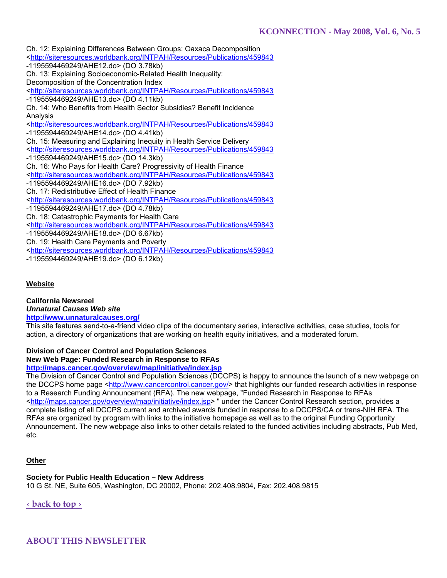Ch. 12: Explaining Differences Between Groups: Oaxaca Decomposition <http://siteresources.worldbank.org/INTPAH/Resources/Publications/459843 -1195594469249/AHE12.do> (DO 3.78kb) Ch. 13: Explaining Socioeconomic-Related Health Inequality: Decomposition of the Concentration Index <http://siteresources.worldbank.org/INTPAH/Resources/Publications/459843 -1195594469249/AHE13.do> (DO 4.11kb) Ch. 14: Who Benefits from Health Sector Subsidies? Benefit Incidence Analysis <http://siteresources.worldbank.org/INTPAH/Resources/Publications/459843 -1195594469249/AHE14.do> (DO 4.41kb) Ch. 15: Measuring and Explaining Inequity in Health Service Delivery <http://siteresources.worldbank.org/INTPAH/Resources/Publications/459843 -1195594469249/AHE15.do> (DO 14.3kb) Ch. 16: Who Pays for Health Care? Progressivity of Health Finance <http://siteresources.worldbank.org/INTPAH/Resources/Publications/459843 -1195594469249/AHE16.do> (DO 7.92kb) Ch. 17: Redistributive Effect of Health Finance <http://siteresources.worldbank.org/INTPAH/Resources/Publications/459843 -1195594469249/AHE17.do> (DO 4.78kb) Ch. 18: Catastrophic Payments for Health Care <http://siteresources.worldbank.org/INTPAH/Resources/Publications/459843 -1195594469249/AHE18.do> (DO 6.67kb) Ch. 19: Health Care Payments and Poverty <http://siteresources.worldbank.org/INTPAH/Resources/Publications/459843 -1195594469249/AHE19.do> (DO 6.12kb)

# **Website**

**California Newsreel**  *Unnatural Causes Web site*  **http://www.unnaturalcauses.org/**

This site features send-to-a-friend video clips of the documentary series, interactive activities, case studies, tools for action, a directory of organizations that are working on health equity initiatives, and a moderated forum.

#### **Division of Cancer Control and Population Sciences New Web Page: Funded Research in Response to RFAs http://maps.cancer.gov/overview/map/initiative/index.jsp**

The Division of Cancer Control and Population Sciences (DCCPS) is happy to announce the launch of a new webpage on the DCCPS home page <http://www.cancercontrol.cancer.gov/> that highlights our funded research activities in response to a Research Funding Announcement (RFA). The new webpage, "Funded Research in Response to RFAs <http://maps.cancer.gov/overview/map/initiative/index.jsp> " under the Cancer Control Research section, provides a complete listing of all DCCPS current and archived awards funded in response to a DCCPS/CA or trans-NIH RFA. The

RFAs are organized by program with links to the initiative homepage as well as to the original Funding Opportunity Announcement. The new webpage also links to other details related to the funded activities including abstracts, Pub Med, etc.

#### **Other**

#### **Society for Public Health Education – New Address**

10 G St. NE, Suite 605, Washington, DC 20002, Phone: 202.408.9804, Fax: 202.408.9815

**‹ back to top ›**